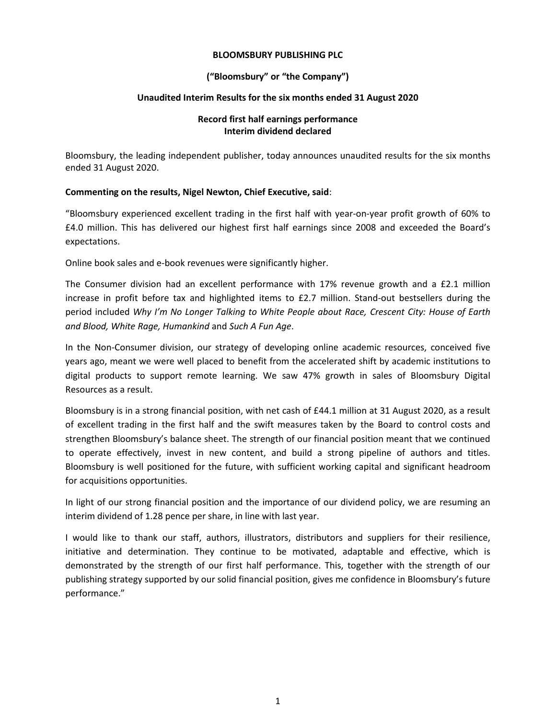### **BLOOMSBURY PUBLISHING PLC**

## **("Bloomsbury" or "the Company")**

## **Unaudited Interim Results for the six months ended 31 August 2020**

### **Record first half earnings performance Interim dividend declared**

Bloomsbury, the leading independent publisher, today announces unaudited results for the six months ended 31 August 2020.

## **Commenting on the results, Nigel Newton, Chief Executive, said**:

"Bloomsbury experienced excellent trading in the first half with year-on-year profit growth of 60% to £4.0 million. This has delivered our highest first half earnings since 2008 and exceeded the Board's expectations.

Online book sales and e-book revenues were significantly higher.

The Consumer division had an excellent performance with 17% revenue growth and a £2.1 million increase in profit before tax and highlighted items to £2.7 million. Stand-out bestsellers during the period included *Why I'm No Longer Talking to White People about Race, Crescent City: House of Earth and Blood, White Rage, Humankind* and *Such A Fun Age*.

In the Non-Consumer division, our strategy of developing online academic resources, conceived five years ago, meant we were well placed to benefit from the accelerated shift by academic institutions to digital products to support remote learning. We saw 47% growth in sales of Bloomsbury Digital Resources as a result.

Bloomsbury is in a strong financial position, with net cash of £44.1 million at 31 August 2020, as a result of excellent trading in the first half and the swift measures taken by the Board to control costs and strengthen Bloomsbury's balance sheet. The strength of our financial position meant that we continued to operate effectively, invest in new content, and build a strong pipeline of authors and titles. Bloomsbury is well positioned for the future, with sufficient working capital and significant headroom for acquisitions opportunities.

In light of our strong financial position and the importance of our dividend policy, we are resuming an interim dividend of 1.28 pence per share, in line with last year.

I would like to thank our staff, authors, illustrators, distributors and suppliers for their resilience, initiative and determination. They continue to be motivated, adaptable and effective, which is demonstrated by the strength of our first half performance. This, together with the strength of our publishing strategy supported by our solid financial position, gives me confidence in Bloomsbury's future performance."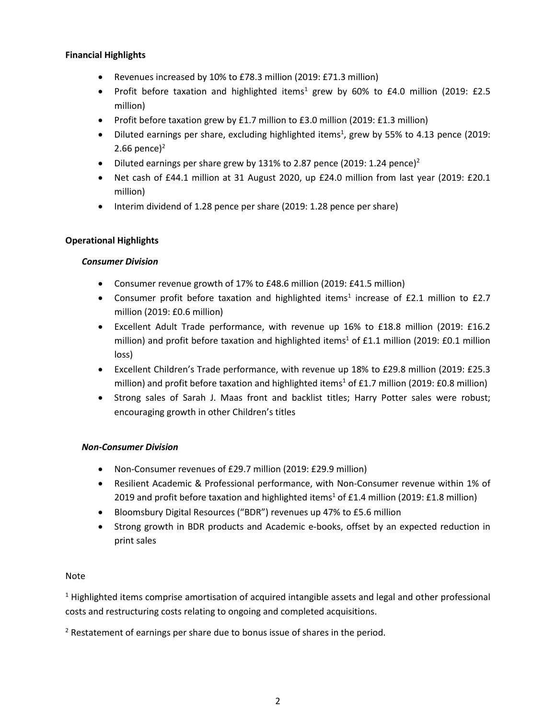## **Financial Highlights**

- Revenues increased by 10% to £78.3 million (2019: £71.3 million)
- Profit before taxation and highlighted items<sup>1</sup> grew by 60% to £4.0 million (2019: £2.5 million)
- Profit before taxation grew by £1.7 million to £3.0 million (2019: £1.3 million)
- Diluted earnings per share, excluding highlighted items<sup>1</sup>, grew by 55% to 4.13 pence (2019: 2.66 pence $)^2$
- Diluted earnings per share grew by 131% to 2.87 pence (2019: 1.24 pence)<sup>2</sup>
- Net cash of £44.1 million at 31 August 2020, up £24.0 million from last year (2019: £20.1) million)
- Interim dividend of 1.28 pence per share (2019: 1.28 pence per share)

# **Operational Highlights**

# *Consumer Division*

- Consumer revenue growth of 17% to £48.6 million (2019: £41.5 million)
- Consumer profit before taxation and highlighted items<sup>1</sup> increase of £2.1 million to £2.7 million (2019: £0.6 million)
- Excellent Adult Trade performance, with revenue up 16% to £18.8 million (2019: £16.2 million) and profit before taxation and highlighted items<sup>1</sup> of £1.1 million (2019: £0.1 million loss)
- Excellent Children's Trade performance, with revenue up 18% to £29.8 million (2019: £25.3 million) and profit before taxation and highlighted items<sup>1</sup> of £1.7 million (2019: £0.8 million)
- Strong sales of Sarah J. Maas front and backlist titles; Harry Potter sales were robust; encouraging growth in other Children's titles

# *Non-Consumer Division*

- Non-Consumer revenues of £29.7 million (2019: £29.9 million)
- Resilient Academic & Professional performance, with Non-Consumer revenue within 1% of 2019 and profit before taxation and highlighted items<sup>1</sup> of £1.4 million (2019: £1.8 million)
- Bloomsbury Digital Resources ("BDR") revenues up 47% to £5.6 million
- Strong growth in BDR products and Academic e-books, offset by an expected reduction in print sales

# Note

<sup>1</sup> Highlighted items comprise amortisation of acquired intangible assets and legal and other professional costs and restructuring costs relating to ongoing and completed acquisitions.

 $2$  Restatement of earnings per share due to bonus issue of shares in the period.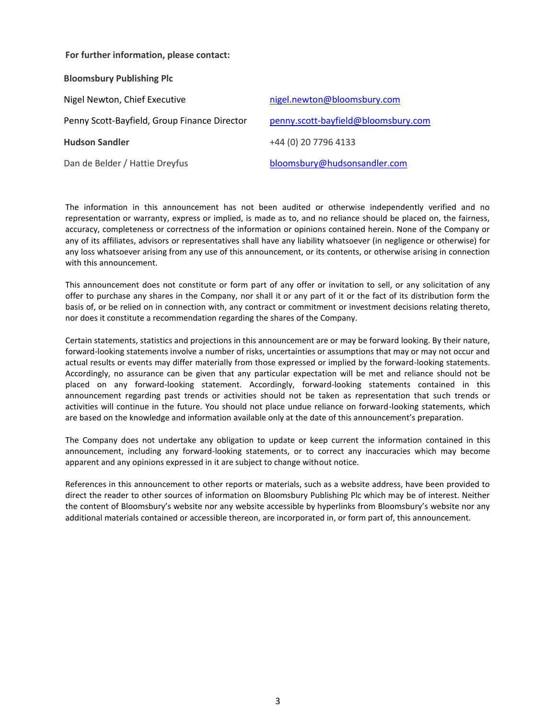#### **For further information, please contact:**

| <b>Bloomsbury Publishing Plc</b>             |                                     |
|----------------------------------------------|-------------------------------------|
| Nigel Newton, Chief Executive                | nigel.newton@bloomsbury.com         |
| Penny Scott-Bayfield, Group Finance Director | penny.scott-bayfield@bloomsbury.com |
| <b>Hudson Sandler</b>                        | +44 (0) 20 7796 4133                |
| Dan de Belder / Hattie Dreyfus               | bloomsbury@hudsonsandler.com        |

The information in this announcement has not been audited or otherwise independently verified and no representation or warranty, express or implied, is made as to, and no reliance should be placed on, the fairness, accuracy, completeness or correctness of the information or opinions contained herein. None of the Company or any of its affiliates, advisors or representatives shall have any liability whatsoever (in negligence or otherwise) for any loss whatsoever arising from any use of this announcement, or its contents, or otherwise arising in connection with this announcement.

This announcement does not constitute or form part of any offer or invitation to sell, or any solicitation of any offer to purchase any shares in the Company, nor shall it or any part of it or the fact of its distribution form the basis of, or be relied on in connection with, any contract or commitment or investment decisions relating thereto, nor does it constitute a recommendation regarding the shares of the Company.

Certain statements, statistics and projections in this announcement are or may be forward looking. By their nature, forward-looking statements involve a number of risks, uncertainties or assumptions that may or may not occur and actual results or events may differ materially from those expressed or implied by the forward-looking statements. Accordingly, no assurance can be given that any particular expectation will be met and reliance should not be placed on any forward-looking statement. Accordingly, forward-looking statements contained in this announcement regarding past trends or activities should not be taken as representation that such trends or activities will continue in the future. You should not place undue reliance on forward-looking statements, which are based on the knowledge and information available only at the date of this announcement's preparation.

The Company does not undertake any obligation to update or keep current the information contained in this announcement, including any forward-looking statements, or to correct any inaccuracies which may become apparent and any opinions expressed in it are subject to change without notice.

References in this announcement to other reports or materials, such as a website address, have been provided to direct the reader to other sources of information on Bloomsbury Publishing Plc which may be of interest. Neither the content of Bloomsbury's website nor any website accessible by hyperlinks from Bloomsbury's website nor any additional materials contained or accessible thereon, are incorporated in, or form part of, this announcement.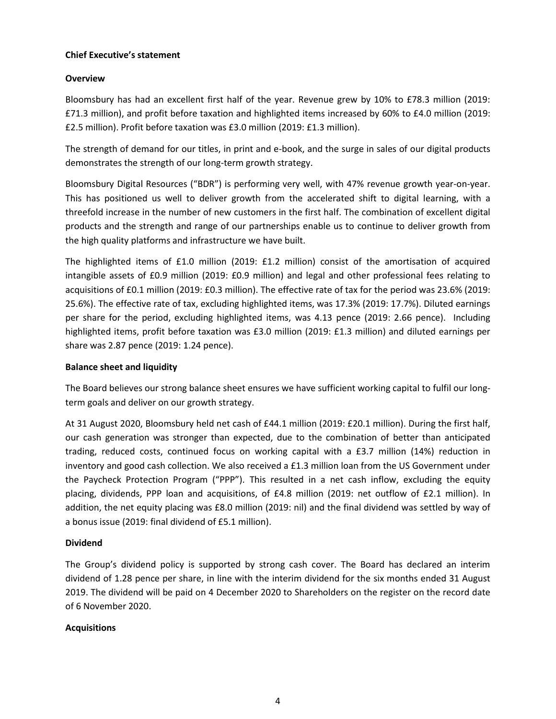## **Chief Executive's statement**

## **Overview**

Bloomsbury has had an excellent first half of the year. Revenue grew by 10% to £78.3 million (2019: £71.3 million), and profit before taxation and highlighted items increased by 60% to £4.0 million (2019: £2.5 million). Profit before taxation was £3.0 million (2019: £1.3 million).

The strength of demand for our titles, in print and e-book, and the surge in sales of our digital products demonstrates the strength of our long-term growth strategy.

Bloomsbury Digital Resources ("BDR") is performing very well, with 47% revenue growth year-on-year. This has positioned us well to deliver growth from the accelerated shift to digital learning, with a threefold increase in the number of new customers in the first half. The combination of excellent digital products and the strength and range of our partnerships enable us to continue to deliver growth from the high quality platforms and infrastructure we have built.

The highlighted items of £1.0 million (2019: £1.2 million) consist of the amortisation of acquired intangible assets of £0.9 million (2019: £0.9 million) and legal and other professional fees relating to acquisitions of £0.1 million (2019: £0.3 million). The effective rate of tax for the period was 23.6% (2019: 25.6%). The effective rate of tax, excluding highlighted items, was 17.3% (2019: 17.7%). Diluted earnings per share for the period, excluding highlighted items, was 4.13 pence (2019: 2.66 pence). Including highlighted items, profit before taxation was £3.0 million (2019: £1.3 million) and diluted earnings per share was 2.87 pence (2019: 1.24 pence).

## **Balance sheet and liquidity**

The Board believes our strong balance sheet ensures we have sufficient working capital to fulfil our longterm goals and deliver on our growth strategy.

At 31 August 2020, Bloomsbury held net cash of £44.1 million (2019: £20.1 million). During the first half, our cash generation was stronger than expected, due to the combination of better than anticipated trading, reduced costs, continued focus on working capital with a £3.7 million (14%) reduction in inventory and good cash collection. We also received a £1.3 million loan from the US Government under the Paycheck Protection Program ("PPP"). This resulted in a net cash inflow, excluding the equity placing, dividends, PPP loan and acquisitions, of £4.8 million (2019: net outflow of £2.1 million). In addition, the net equity placing was £8.0 million (2019: nil) and the final dividend was settled by way of a bonus issue (2019: final dividend of £5.1 million).

## **Dividend**

The Group's dividend policy is supported by strong cash cover. The Board has declared an interim dividend of 1.28 pence per share, in line with the interim dividend for the six months ended 31 August 2019. The dividend will be paid on 4 December 2020 to Shareholders on the register on the record date of 6 November 2020.

## **Acquisitions**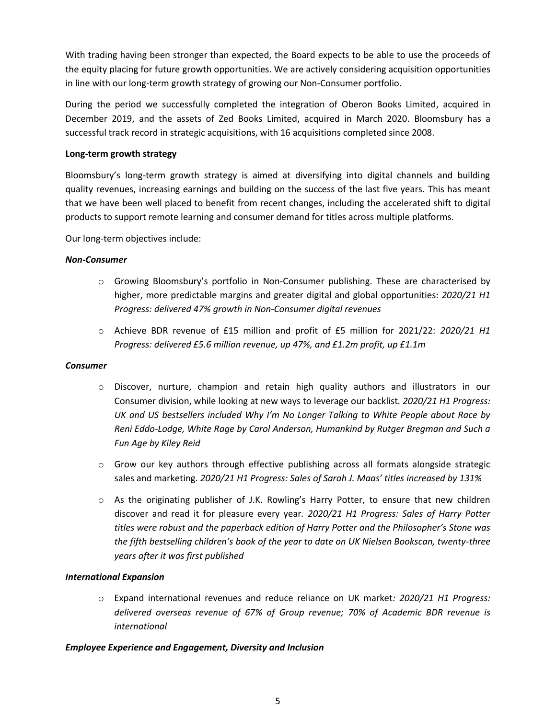With trading having been stronger than expected, the Board expects to be able to use the proceeds of the equity placing for future growth opportunities. We are actively considering acquisition opportunities in line with our long-term growth strategy of growing our Non-Consumer portfolio.

During the period we successfully completed the integration of Oberon Books Limited, acquired in December 2019, and the assets of Zed Books Limited, acquired in March 2020. Bloomsbury has a successful track record in strategic acquisitions, with 16 acquisitions completed since 2008.

## **Long-term growth strategy**

Bloomsbury's long-term growth strategy is aimed at diversifying into digital channels and building quality revenues, increasing earnings and building on the success of the last five years. This has meant that we have been well placed to benefit from recent changes, including the accelerated shift to digital products to support remote learning and consumer demand for titles across multiple platforms.

Our long-term objectives include:

### *Non-Consumer*

- o Growing Bloomsbury's portfolio in Non-Consumer publishing. These are characterised by higher, more predictable margins and greater digital and global opportunities: *2020/21 H1 Progress: delivered 47% growth in Non-Consumer digital revenues*
- o Achieve BDR revenue of £15 million and profit of £5 million for 2021/22: *2020/21 H1 Progress: delivered £5.6 million revenue, up 47%, and £1.2m profit, up £1.1m*

#### *Consumer*

- o Discover, nurture, champion and retain high quality authors and illustrators in our Consumer division, while looking at new ways to leverage our backlist*. 2020/21 H1 Progress: UK and US bestsellers included Why I'm No Longer Talking to White People about Race by Reni Eddo-Lodge, White Rage by Carol Anderson, Humankind by Rutger Bregman and Such a Fun Age by Kiley Reid*
- o Grow our key authors through effective publishing across all formats alongside strategic sales and marketing. *2020/21 H1 Progress: Sales of Sarah J. Maas' titles increased by 131%*
- o As the originating publisher of J.K. Rowling's Harry Potter, to ensure that new children discover and read it for pleasure every year*. 2020/21 H1 Progress: Sales of Harry Potter titles were robust and the paperback edition of Harry Potter and the Philosopher's Stone was the fifth bestselling children's book of the year to date on UK Nielsen Bookscan, twenty-three years after it was first published*

## *International Expansion*

o Expand international revenues and reduce reliance on UK market*: 2020/21 H1 Progress: delivered overseas revenue of 67% of Group revenue; 70% of Academic BDR revenue is international*

## *Employee Experience and Engagement, Diversity and Inclusion*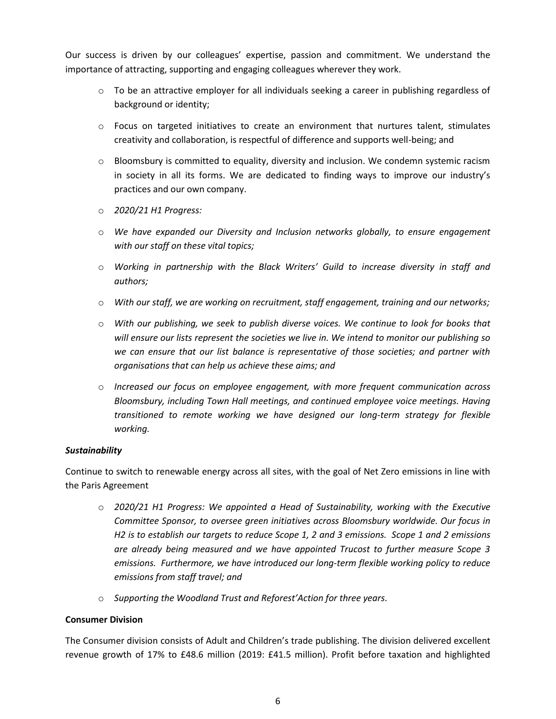Our success is driven by our colleagues' expertise, passion and commitment. We understand the importance of attracting, supporting and engaging colleagues wherever they work.

- $\circ$  To be an attractive employer for all individuals seeking a career in publishing regardless of background or identity;
- $\circ$  Focus on targeted initiatives to create an environment that nurtures talent, stimulates creativity and collaboration, is respectful of difference and supports well-being; and
- $\circ$  Bloomsbury is committed to equality, diversity and inclusion. We condemn systemic racism in society in all its forms. We are dedicated to finding ways to improve our industry's practices and our own company.
- o *2020/21 H1 Progress:*
- o *We have expanded our Diversity and Inclusion networks globally, to ensure engagement with our staff on these vital topics;*
- o *Working in partnership with the Black Writers' Guild to increase diversity in staff and authors;*
- o *With our staff, we are working on recruitment, staff engagement, training and our networks;*
- o *With our publishing, we seek to publish diverse voices. We continue to look for books that will ensure our lists represent the societies we live in. We intend to monitor our publishing so we can ensure that our list balance is representative of those societies; and partner with organisations that can help us achieve these aims; and*
- o *Increased our focus on employee engagement, with more frequent communication across Bloomsbury, including Town Hall meetings, and continued employee voice meetings. Having transitioned to remote working we have designed our long-term strategy for flexible working.*

## *Sustainability*

Continue to switch to renewable energy across all sites, with the goal of Net Zero emissions in line with the Paris Agreement

- o *2020/21 H1 Progress: We appointed a Head of Sustainability, working with the Executive Committee Sponsor, to oversee green initiatives across Bloomsbury worldwide. Our focus in H2 is to establish our targets to reduce Scope 1, 2 and 3 emissions. Scope 1 and 2 emissions are already being measured and we have appointed Trucost to further measure Scope 3 emissions. Furthermore, we have introduced our long-term flexible working policy to reduce emissions from staff travel; and*
- o *Supporting the Woodland Trust and Reforest'Action for three years.*

## **Consumer Division**

The Consumer division consists of Adult and Children's trade publishing. The division delivered excellent revenue growth of 17% to £48.6 million (2019: £41.5 million). Profit before taxation and highlighted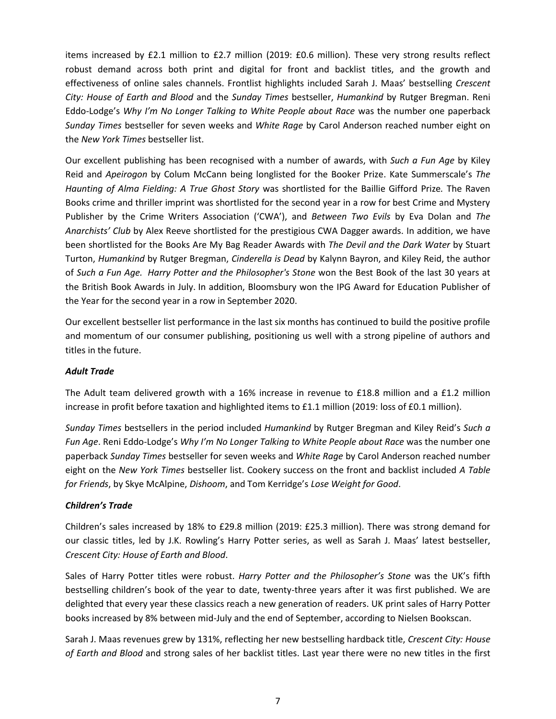items increased by £2.1 million to £2.7 million (2019: £0.6 million). These very strong results reflect robust demand across both print and digital for front and backlist titles, and the growth and effectiveness of online sales channels. Frontlist highlights included Sarah J. Maas' bestselling *Crescent City: House of Earth and Blood* and the *Sunday Times* bestseller, *Humankind* by Rutger Bregman. Reni Eddo-Lodge's *Why I'm No Longer Talking to White People about Race* was the number one paperback *Sunday Times* bestseller for seven weeks and *White Rage* by Carol Anderson reached number eight on the *New York Times* bestseller list.

Our excellent publishing has been recognised with a number of awards, with *Such a Fun Age* by Kiley Reid and *Apeirogon* by Colum McCann being longlisted for the Booker Prize. Kate Summerscale's *The Haunting of Alma Fielding: A True Ghost Story* was shortlisted for the Baillie Gifford Prize*.* The Raven Books crime and thriller imprint was shortlisted for the second year in a row for best Crime and Mystery Publisher by the Crime Writers Association ('CWA'), and *Between Two Evils* by Eva Dolan and *The Anarchists' Club* by Alex Reeve shortlisted for the prestigious CWA Dagger awards. In addition, we have been shortlisted for the Books Are My Bag Reader Awards with *The Devil and the Dark Water* by Stuart Turton, *Humankind* by Rutger Bregman, *Cinderella is Dead* by Kalynn Bayron, and Kiley Reid, the author of *Such a Fun Age. Harry Potter and the Philosopher's Stone* won the Best Book of the last 30 years at the British Book Awards in July. In addition, Bloomsbury won the IPG Award for Education Publisher of the Year for the second year in a row in September 2020.

Our excellent bestseller list performance in the last six months has continued to build the positive profile and momentum of our consumer publishing, positioning us well with a strong pipeline of authors and titles in the future.

# *Adult Trade*

The Adult team delivered growth with a 16% increase in revenue to £18.8 million and a £1.2 million increase in profit before taxation and highlighted items to £1.1 million (2019: loss of £0.1 million).

*Sunday Times* bestsellers in the period included *Humankind* by Rutger Bregman and Kiley Reid's *Such a Fun Age*. Reni Eddo-Lodge's *Why I'm No Longer Talking to White People about Race* was the number one paperback *Sunday Times* bestseller for seven weeks and *White Rage* by Carol Anderson reached number eight on the *New York Times* bestseller list. Cookery success on the front and backlist included *A Table for Friends*, by Skye McAlpine, *Dishoom*, and Tom Kerridge's *Lose Weight for Good*.

# *Children's Trade*

Children's sales increased by 18% to £29.8 million (2019: £25.3 million). There was strong demand for our classic titles, led by J.K. Rowling's Harry Potter series, as well as Sarah J. Maas' latest bestseller, *Crescent City: House of Earth and Blood*.

Sales of Harry Potter titles were robust. *Harry Potter and the Philosopher's Stone* was the UK's fifth bestselling children's book of the year to date, twenty-three years after it was first published. We are delighted that every year these classics reach a new generation of readers. UK print sales of Harry Potter books increased by 8% between mid-July and the end of September, according to Nielsen Bookscan.

Sarah J. Maas revenues grew by 131%, reflecting her new bestselling hardback title, *Crescent City: House of Earth and Blood* and strong sales of her backlist titles. Last year there were no new titles in the first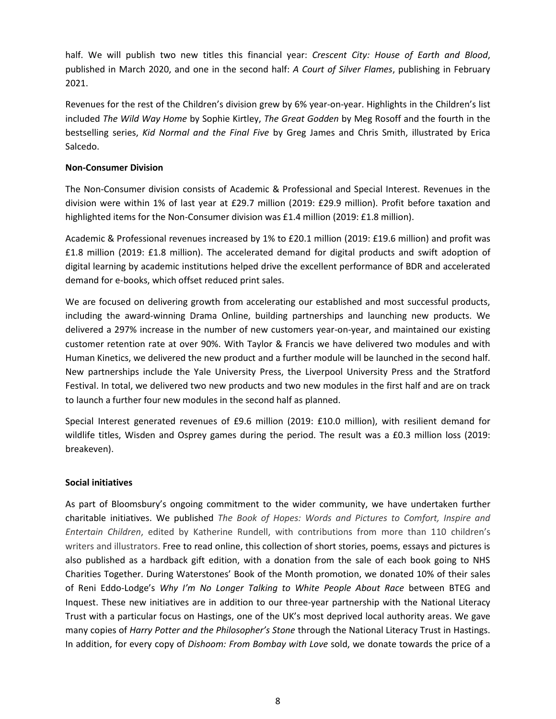half. We will publish two new titles this financial year: *Crescent City: House of Earth and Blood*, published in March 2020, and one in the second half: *A Court of Silver Flames*, publishing in February 2021.

Revenues for the rest of the Children's division grew by 6% year-on-year. Highlights in the Children's list included *The Wild Way Home* by Sophie Kirtley, *The Great Godden* by Meg Rosoff and the fourth in the bestselling series, *Kid Normal and the Final Five* by Greg James and Chris Smith, illustrated by Erica Salcedo.

## **Non-Consumer Division**

The Non-Consumer division consists of Academic & Professional and Special Interest. Revenues in the division were within 1% of last year at £29.7 million (2019: £29.9 million). Profit before taxation and highlighted items for the Non-Consumer division was £1.4 million (2019: £1.8 million).

Academic & Professional revenues increased by 1% to £20.1 million (2019: £19.6 million) and profit was £1.8 million (2019: £1.8 million). The accelerated demand for digital products and swift adoption of digital learning by academic institutions helped drive the excellent performance of BDR and accelerated demand for e-books, which offset reduced print sales.

We are focused on delivering growth from accelerating our established and most successful products, including the award-winning Drama Online, building partnerships and launching new products. We delivered a 297% increase in the number of new customers year-on-year, and maintained our existing customer retention rate at over 90%. With Taylor & Francis we have delivered two modules and with Human Kinetics, we delivered the new product and a further module will be launched in the second half. New partnerships include the Yale University Press, the Liverpool University Press and the Stratford Festival. In total, we delivered two new products and two new modules in the first half and are on track to launch a further four new modules in the second half as planned.

Special Interest generated revenues of £9.6 million (2019: £10.0 million), with resilient demand for wildlife titles, Wisden and Osprey games during the period. The result was a £0.3 million loss (2019: breakeven).

## **Social initiatives**

As part of Bloomsbury's ongoing commitment to the wider community, we have undertaken further charitable initiatives. We published *The Book of Hopes: Words and Pictures to Comfort, Inspire and Entertain Children*, edited by Katherine Rundell, with contributions from more than 110 children's writers and illustrators. Free to read online, this collection of short stories, poems, essays and pictures is also published as a hardback gift edition, with a donation from the sale of each book going to NHS Charities Together. During Waterstones' Book of the Month promotion, we donated 10% of their sales of Reni Eddo-Lodge's *Why I'm No Longer Talking to White People About Race* between BTEG and Inquest. These new initiatives are in addition to our three-year partnership with the National Literacy Trust with a particular focus on Hastings, one of the UK's most deprived local authority areas. We gave many copies of *Harry Potter and the Philosopher's Stone* through the National Literacy Trust in Hastings. In addition, for every copy of *Dishoom: From Bombay with Love* sold, we donate towards the price of a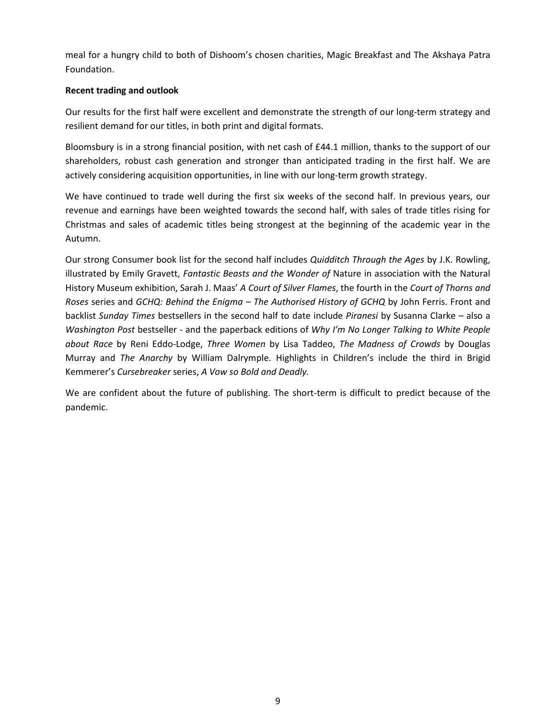meal for a hungry child to both of Dishoom's chosen charities, Magic Breakfast and The Akshaya Patra Foundation.

## **Recent trading and outlook**

Our results for the first half were excellent and demonstrate the strength of our long-term strategy and resilient demand for our titles, in both print and digital formats.

Bloomsbury is in a strong financial position, with net cash of £44.1 million, thanks to the support of our shareholders, robust cash generation and stronger than anticipated trading in the first half. We are actively considering acquisition opportunities, in line with our long-term growth strategy.

We have continued to trade well during the first six weeks of the second half. In previous years, our revenue and earnings have been weighted towards the second half, with sales of trade titles rising for Christmas and sales of academic titles being strongest at the beginning of the academic year in the Autumn.

Our strong Consumer book list for the second half includes *Quidditch Through the Ages* by J.K. Rowling, illustrated by Emily Gravett, *Fantastic Beasts and the Wonder of* Nature in association with the Natural History Museum exhibition, Sarah J. Maas' *A Court of Silver Flames*, the fourth in the *Court of Thorns and Roses* series and *GCHQ: Behind the Enigma – The Authorised History of GCHQ* by John Ferris. Front and backlist *Sunday Times* bestsellers in the second half to date include *Piranesi* by Susanna Clarke – also a *Washington Post* bestseller - and the paperback editions of *Why I'm No Longer Talking to White People about Race* by Reni Eddo-Lodge, *Three Women* by Lisa Taddeo, *The Madness of Crowds* by Douglas Murray and *The Anarchy* by William Dalrymple. Highlights in Children's include the third in Brigid Kemmerer's *Cursebreaker* series, *A Vow so Bold and Deadly.*

We are confident about the future of publishing. The short-term is difficult to predict because of the pandemic.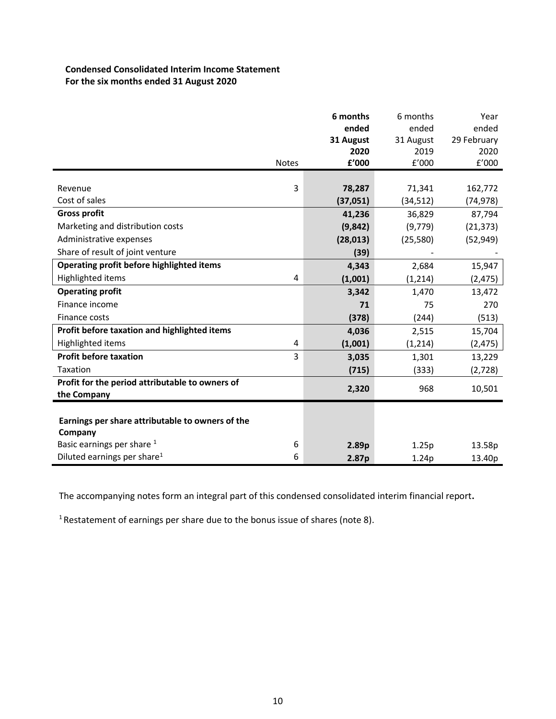# **Condensed Consolidated Interim Income Statement For the six months ended 31 August 2020**

| <b>Notes</b>                                                                              |                         | 6 months<br>ended<br>31 August<br>2020<br>£'000 | 6 months<br>ended<br>31 August<br>2019<br>f'000 | Year<br>ended<br>29 February<br>2020<br>f'000 |
|-------------------------------------------------------------------------------------------|-------------------------|-------------------------------------------------|-------------------------------------------------|-----------------------------------------------|
| Revenue                                                                                   | 3                       |                                                 |                                                 |                                               |
| Cost of sales                                                                             |                         | 78,287<br>(37,051)                              | 71,341<br>(34, 512)                             | 162,772<br>(74, 978)                          |
| <b>Gross profit</b>                                                                       |                         | 41,236                                          | 36,829                                          | 87,794                                        |
| Marketing and distribution costs                                                          |                         | (9,842)                                         | (9,779)                                         |                                               |
| Administrative expenses                                                                   |                         | (28, 013)                                       |                                                 | (21, 373)                                     |
| Share of result of joint venture                                                          |                         |                                                 | (25, 580)                                       | (52, 949)                                     |
|                                                                                           |                         | (39)                                            |                                                 |                                               |
| Operating profit before highlighted items                                                 |                         | 4,343                                           | 2,684                                           | 15,947                                        |
| Highlighted items                                                                         | 4                       | (1,001)                                         | (1,214)                                         | (2, 475)                                      |
| <b>Operating profit</b>                                                                   |                         | 3,342                                           | 1,470                                           | 13,472                                        |
| Finance income                                                                            |                         | 71                                              | 75                                              | 270                                           |
| Finance costs                                                                             |                         | (378)                                           | (244)                                           | (513)                                         |
| Profit before taxation and highlighted items                                              |                         | 4,036                                           | 2,515                                           | 15,704                                        |
| Highlighted items                                                                         | $\overline{\mathbf{4}}$ | (1,001)                                         | (1, 214)                                        | (2, 475)                                      |
| <b>Profit before taxation</b>                                                             | 3                       | 3,035                                           | 1,301                                           | 13,229                                        |
| Taxation                                                                                  |                         | (715)                                           | (333)                                           | (2,728)                                       |
| Profit for the period attributable to owners of                                           |                         |                                                 |                                                 |                                               |
| the Company                                                                               |                         | 2,320                                           | 968                                             | 10,501                                        |
| Earnings per share attributable to owners of the<br>Company<br>Basic earnings per share 1 | 6                       | 2.89p                                           | 1.25p                                           | 13.58p                                        |
| Diluted earnings per share <sup>1</sup>                                                   | 6                       | 2.87 <sub>p</sub>                               | 1.24p                                           | 13.40p                                        |

The accompanying notes form an integral part of this condensed consolidated interim financial report**.** 

<sup>1</sup> Restatement of earnings per share due to the bonus issue of shares (note 8).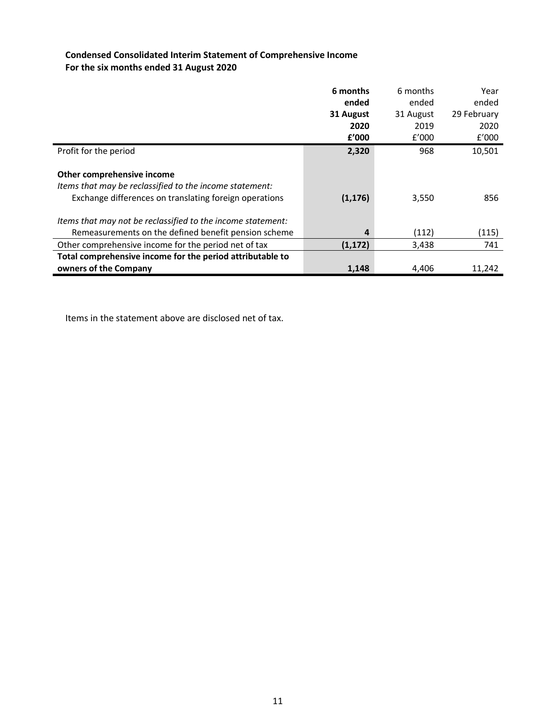# **Condensed Consolidated Interim Statement of Comprehensive Income For the six months ended 31 August 2020**

|                                                                                                                                                 | 6 months<br>ended<br>31 August<br>2020 | 6 months<br>ended<br>31 August<br>2019 | Year<br>ended<br>29 February<br>2020 |
|-------------------------------------------------------------------------------------------------------------------------------------------------|----------------------------------------|----------------------------------------|--------------------------------------|
|                                                                                                                                                 | f'000                                  | f'000                                  | f'000                                |
| Profit for the period                                                                                                                           | 2,320                                  | 968                                    | 10,501                               |
| Other comprehensive income<br>Items that may be reclassified to the income statement:<br>Exchange differences on translating foreign operations | (1, 176)                               | 3,550                                  | 856                                  |
| Items that may not be reclassified to the income statement:                                                                                     |                                        |                                        |                                      |
| Remeasurements on the defined benefit pension scheme                                                                                            | 4                                      | (112)                                  | (115)                                |
| Other comprehensive income for the period net of tax                                                                                            | (1, 172)                               | 3,438                                  | 741                                  |
| Total comprehensive income for the period attributable to                                                                                       |                                        |                                        |                                      |
| owners of the Company                                                                                                                           | 1,148                                  | 4,406                                  | 11,242                               |

Items in the statement above are disclosed net of tax.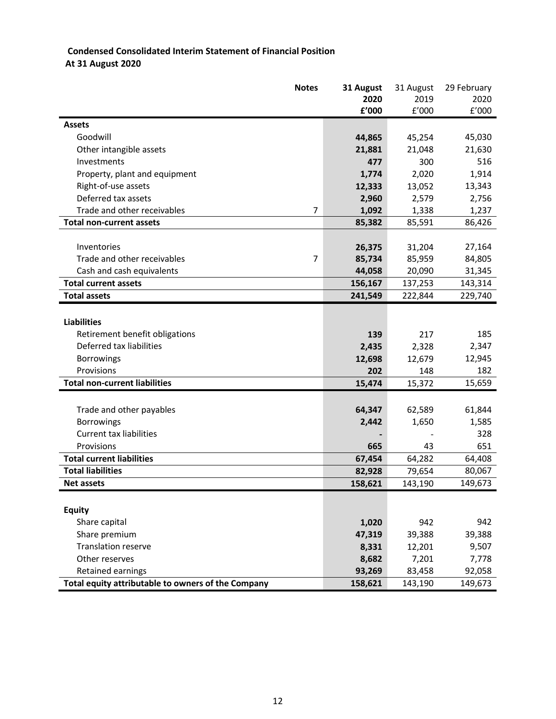# **Condensed Consolidated Interim Statement of Financial Position At 31 August 2020**

|                                                    | <b>Notes</b> | 31 August | 31 August | 29 February |
|----------------------------------------------------|--------------|-----------|-----------|-------------|
|                                                    |              | 2020      | 2019      | 2020        |
|                                                    |              | £'000     | £'000     | f'000       |
| <b>Assets</b>                                      |              |           |           |             |
| Goodwill                                           |              | 44,865    | 45,254    | 45,030      |
| Other intangible assets                            |              | 21,881    | 21,048    | 21,630      |
| Investments                                        |              | 477       | 300       | 516         |
| Property, plant and equipment                      |              | 1,774     | 2,020     | 1,914       |
| Right-of-use assets                                |              | 12,333    | 13,052    | 13,343      |
| Deferred tax assets                                |              | 2,960     | 2,579     | 2,756       |
| Trade and other receivables                        | 7            | 1,092     | 1,338     | 1,237       |
| <b>Total non-current assets</b>                    |              | 85,382    | 85,591    | 86,426      |
|                                                    |              |           |           |             |
| Inventories                                        |              | 26,375    | 31,204    | 27,164      |
| Trade and other receivables                        | 7            | 85,734    | 85,959    | 84,805      |
| Cash and cash equivalents                          |              | 44,058    | 20,090    | 31,345      |
| <b>Total current assets</b>                        |              | 156,167   | 137,253   | 143,314     |
| <b>Total assets</b>                                |              | 241,549   | 222,844   | 229,740     |
|                                                    |              |           |           |             |
| <b>Liabilities</b>                                 |              |           |           |             |
| Retirement benefit obligations                     |              | 139       | 217       | 185         |
| Deferred tax liabilities                           |              | 2,435     | 2,328     | 2,347       |
| <b>Borrowings</b>                                  |              | 12,698    | 12,679    | 12,945      |
| Provisions                                         |              | 202       | 148       | 182         |
| <b>Total non-current liabilities</b>               |              | 15,474    | 15,372    | 15,659      |
|                                                    |              |           |           |             |
| Trade and other payables                           |              | 64,347    | 62,589    | 61,844      |
| <b>Borrowings</b>                                  |              | 2,442     | 1,650     | 1,585       |
| <b>Current tax liabilities</b>                     |              |           |           | 328         |
| Provisions                                         |              | 665       | 43        | 651         |
| <b>Total current liabilities</b>                   |              | 67,454    | 64,282    | 64,408      |
| <b>Total liabilities</b>                           |              | 82,928    | 79,654    | 80,067      |
| <b>Net assets</b>                                  |              | 158,621   | 143,190   | 149,673     |
|                                                    |              |           |           |             |
| <b>Equity</b>                                      |              |           |           |             |
| Share capital                                      |              | 1,020     | 942       | 942         |
| Share premium                                      |              | 47,319    | 39,388    | 39,388      |
| <b>Translation reserve</b>                         |              | 8,331     | 12,201    | 9,507       |
| Other reserves                                     |              | 8,682     | 7,201     | 7,778       |
| Retained earnings                                  |              | 93,269    | 83,458    | 92,058      |
| Total equity attributable to owners of the Company |              | 158,621   | 143,190   | 149,673     |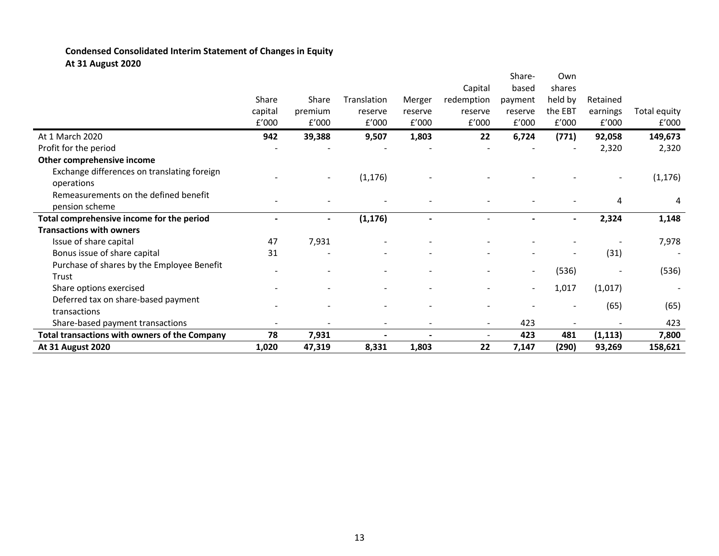# **Condensed Consolidated Interim Statement of Changes in Equity At 31 August 2020**

| <b>At 31 August 2020</b>                                | 1,020   | 47,319         | 8,331          | 1,803   | 22         | 7,147                    | (290)   | 93,269   | 158,621      |
|---------------------------------------------------------|---------|----------------|----------------|---------|------------|--------------------------|---------|----------|--------------|
| Total transactions with owners of the Company           | 78      | 7,931          |                |         |            | 423                      | 481     | (1, 113) | 7,800        |
| Share-based payment transactions                        |         |                | $\blacksquare$ |         | $\sim$     | 423                      |         |          | 423          |
| transactions                                            |         |                |                |         |            |                          |         | (65)     | (65)         |
| Deferred tax on share-based payment                     |         |                |                |         |            |                          |         |          |              |
| Share options exercised                                 |         |                |                |         |            | $\overline{\phantom{a}}$ | 1,017   | (1,017)  |              |
| Trust                                                   |         |                |                |         |            | $\blacksquare$           | (536)   |          | (536)        |
| Purchase of shares by the Employee Benefit              |         |                |                |         |            |                          |         |          |              |
| Bonus issue of share capital                            | 31      |                |                |         |            |                          |         | (31)     |              |
| Issue of share capital                                  | 47      | 7,931          |                |         |            |                          |         |          | 7,978        |
| <b>Transactions with owners</b>                         |         |                |                |         |            |                          |         |          |              |
| Total comprehensive income for the period               |         | $\blacksquare$ | (1, 176)       |         |            |                          |         | 2,324    | 1,148        |
| Remeasurements on the defined benefit<br>pension scheme |         |                |                |         |            |                          |         | 4        | 4            |
| operations                                              |         |                |                |         |            |                          |         |          | (1, 176)     |
| Exchange differences on translating foreign             |         |                | (1, 176)       |         |            |                          |         |          |              |
| Other comprehensive income                              |         |                |                |         |            |                          |         |          |              |
| Profit for the period                                   |         |                |                |         |            |                          |         | 2,320    | 2,320        |
| At 1 March 2020                                         | 942     | 39,388         | 9,507          | 1,803   | 22         | 6,724                    | (771)   | 92,058   | 149,673      |
|                                                         | E'000   | £'000          | £'000          | f'000   | £'000      | f'000                    | f'000   | E'000    | £'000        |
|                                                         | capital | premium        | reserve        | reserve | reserve    | reserve                  | the EBT | earnings | Total equity |
|                                                         | Share   | Share          | Translation    | Merger  | redemption | payment                  | held by | Retained |              |
|                                                         |         |                |                |         | Capital    | based                    | shares  |          |              |
|                                                         |         |                |                |         |            | Share-                   | Own     |          |              |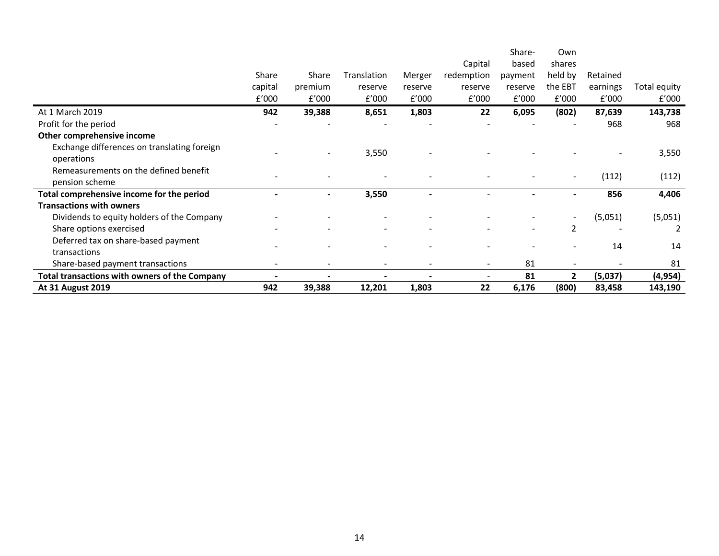|                                                      |         |                          |                          |         |            | Share-  | Own          |          |              |
|------------------------------------------------------|---------|--------------------------|--------------------------|---------|------------|---------|--------------|----------|--------------|
|                                                      |         |                          |                          |         | Capital    | based   | shares       |          |              |
|                                                      | Share   | Share                    | Translation              | Merger  | redemption | payment | held by      | Retained |              |
|                                                      | capital | premium                  | reserve                  | reserve | reserve    | reserve | the EBT      | earnings | Total equity |
|                                                      | f'000   | f'000                    | f'000                    | E'000   | E'000      | E'000   | f'000        | f'000    | £'000        |
| At 1 March 2019                                      | 942     | 39,388                   | 8,651                    | 1,803   | 22         | 6,095   | (802)        | 87,639   | 143,738      |
| Profit for the period                                |         |                          |                          |         |            |         |              | 968      | 968          |
| Other comprehensive income                           |         |                          |                          |         |            |         |              |          |              |
| Exchange differences on translating foreign          |         |                          | 3,550                    |         |            |         |              |          |              |
| operations                                           |         |                          |                          |         |            |         |              |          | 3,550        |
| Remeasurements on the defined benefit                |         |                          |                          |         |            |         |              | (112)    | (112)        |
| pension scheme                                       |         |                          |                          |         |            |         |              |          |              |
| Total comprehensive income for the period            |         | $\overline{\phantom{0}}$ | 3,550                    |         |            |         | Ξ.           | 856      | 4,406        |
| <b>Transactions with owners</b>                      |         |                          |                          |         |            |         |              |          |              |
| Dividends to equity holders of the Company           |         |                          | $\overline{\phantom{a}}$ |         |            |         |              | (5,051)  | (5,051)      |
| Share options exercised                              |         |                          |                          |         |            |         | 2            |          |              |
| Deferred tax on share-based payment                  |         |                          |                          |         |            |         |              | 14       | 14           |
| transactions                                         |         |                          |                          |         |            |         |              |          |              |
| Share-based payment transactions                     |         |                          | $\overline{\phantom{a}}$ |         | $\sim$     | 81      |              |          | 81           |
| <b>Total transactions with owners of the Company</b> |         |                          |                          |         |            | 81      | $\mathbf{2}$ | (5,037)  | (4, 954)     |
| <b>At 31 August 2019</b>                             | 942     | 39,388                   | 12,201                   | 1,803   | 22         | 6,176   | (800)        | 83,458   | 143,190      |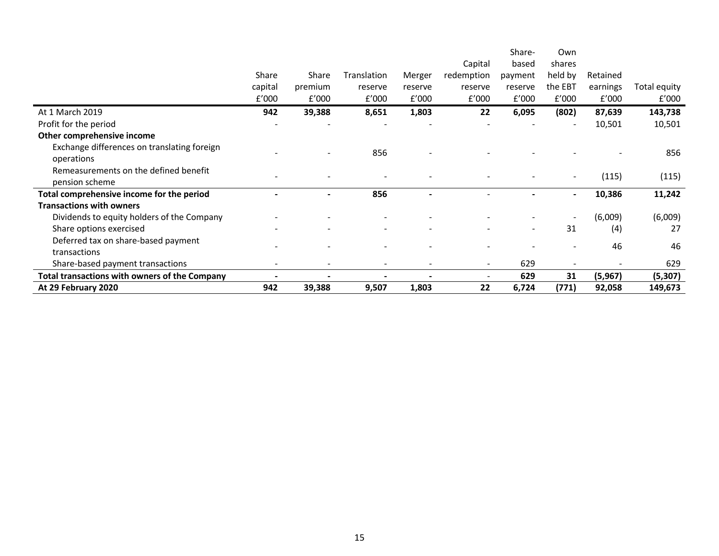|                                                      |         |         |                          |         |                          | Share-         | Own                      |          |              |
|------------------------------------------------------|---------|---------|--------------------------|---------|--------------------------|----------------|--------------------------|----------|--------------|
|                                                      |         |         |                          |         | Capital                  | based          | shares                   |          |              |
|                                                      | Share   | Share   | Translation              | Merger  | redemption               | payment        | held by                  | Retained |              |
|                                                      | capital | premium | reserve                  | reserve | reserve                  | reserve        | the EBT                  | earnings | Total equity |
|                                                      | f'000   | f'000   | f'000                    | E'000   | f'000                    | E'000          | f'000                    | £'000    | f'000        |
| At 1 March 2019                                      | 942     | 39,388  | 8,651                    | 1,803   | 22                       | 6,095          | (802)                    | 87,639   | 143,738      |
| Profit for the period                                |         |         |                          |         |                          |                |                          | 10,501   | 10,501       |
| Other comprehensive income                           |         |         |                          |         |                          |                |                          |          |              |
| Exchange differences on translating foreign          |         |         | 856                      |         |                          |                |                          |          | 856          |
| operations                                           |         |         |                          |         |                          |                |                          |          |              |
| Remeasurements on the defined benefit                |         |         |                          |         |                          |                |                          | (115)    | (115)        |
| pension scheme                                       |         |         |                          |         |                          |                |                          |          |              |
| Total comprehensive income for the period            |         |         | 856                      |         |                          |                |                          | 10,386   | 11,242       |
| <b>Transactions with owners</b>                      |         |         |                          |         |                          |                |                          |          |              |
| Dividends to equity holders of the Company           |         |         | $\overline{\phantom{a}}$ |         |                          |                |                          | (6,009)  | (6,009)      |
| Share options exercised                              |         |         |                          |         |                          | $\blacksquare$ | 31                       | (4)      | 27           |
| Deferred tax on share-based payment                  |         |         |                          |         |                          |                |                          | 46       | 46           |
| transactions                                         |         |         | $\sim$                   |         |                          |                | $\overline{\phantom{a}}$ |          |              |
| Share-based payment transactions                     |         |         | $\overline{\phantom{a}}$ |         | $\sim$                   | 629            |                          |          | 629          |
| <b>Total transactions with owners of the Company</b> |         |         |                          |         | $\overline{\phantom{a}}$ | 629            | 31                       | (5,967)  | (5, 307)     |
| At 29 February 2020                                  | 942     | 39,388  | 9,507                    | 1,803   | 22                       | 6,724          | (771)                    | 92,058   | 149,673      |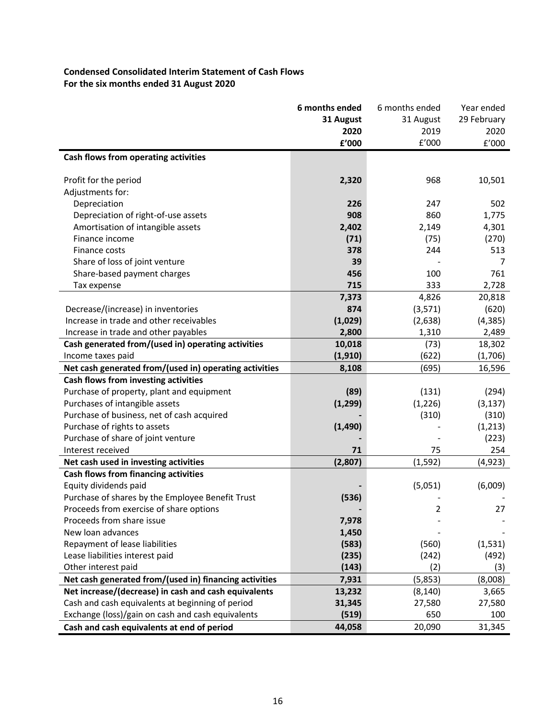# **Condensed Consolidated Interim Statement of Cash Flows For the six months ended 31 August 2020**

|                                                        | 6 months ended | 6 months ended | Year ended  |
|--------------------------------------------------------|----------------|----------------|-------------|
|                                                        | 31 August      | 31 August      | 29 February |
|                                                        | 2020           | 2019           | 2020        |
|                                                        | £'000          | E'000          | £'000       |
| Cash flows from operating activities                   |                |                |             |
|                                                        |                |                |             |
| Profit for the period                                  | 2,320          | 968            | 10,501      |
| Adjustments for:                                       |                |                |             |
| Depreciation                                           | 226            | 247            | 502         |
| Depreciation of right-of-use assets                    | 908            | 860            | 1,775       |
| Amortisation of intangible assets                      | 2,402          | 2,149          | 4,301       |
| Finance income                                         | (71)           | (75)           | (270)       |
| Finance costs                                          | 378            | 244            | 513         |
| Share of loss of joint venture                         | 39             |                | 7           |
| Share-based payment charges                            | 456            | 100            | 761         |
| Tax expense                                            | 715            | 333            | 2,728       |
|                                                        | 7,373          | 4,826          | 20,818      |
| Decrease/(increase) in inventories                     | 874            | (3, 571)       | (620)       |
| Increase in trade and other receivables                | (1,029)        | (2,638)        | (4, 385)    |
| Increase in trade and other payables                   | 2,800          | 1,310          | 2,489       |
| Cash generated from/(used in) operating activities     | 10,018         | (73)           | 18,302      |
| Income taxes paid                                      | (1, 910)       | (622)          | (1,706)     |
| Net cash generated from/(used in) operating activities | 8,108          | (695)          | 16,596      |
| Cash flows from investing activities                   |                |                |             |
| Purchase of property, plant and equipment              | (89)           | (131)          | (294)       |
| Purchases of intangible assets                         | (1, 299)       | (1, 226)       | (3, 137)    |
| Purchase of business, net of cash acquired             |                | (310)          | (310)       |
| Purchase of rights to assets                           | (1, 490)       |                | (1, 213)    |
| Purchase of share of joint venture                     |                |                | (223)       |
| Interest received                                      | 71             | 75             | 254         |
| Net cash used in investing activities                  | (2,807)        | (1, 592)       | (4, 923)    |
| Cash flows from financing activities                   |                |                |             |
| Equity dividends paid                                  |                | (5,051)        | (6,009)     |
| Purchase of shares by the Employee Benefit Trust       | (536)          |                |             |
| Proceeds from exercise of share options                |                | 2              | 27          |
| Proceeds from share issue                              | 7,978          |                |             |
| New loan advances                                      | 1,450          |                |             |
| Repayment of lease liabilities                         | (583)          | (560)          | (1,531)     |
| Lease liabilities interest paid                        | (235)          | (242)          | (492)       |
| Other interest paid                                    | (143)          | (2)            | (3)         |
| Net cash generated from/(used in) financing activities | 7,931          | (5,853)        | (8,008)     |
| Net increase/(decrease) in cash and cash equivalents   | 13,232         | (8, 140)       | 3,665       |
| Cash and cash equivalents at beginning of period       | 31,345         | 27,580         | 27,580      |
| Exchange (loss)/gain on cash and cash equivalents      | (519)          | 650            | 100         |
| Cash and cash equivalents at end of period             | 44,058         | 20,090         | 31,345      |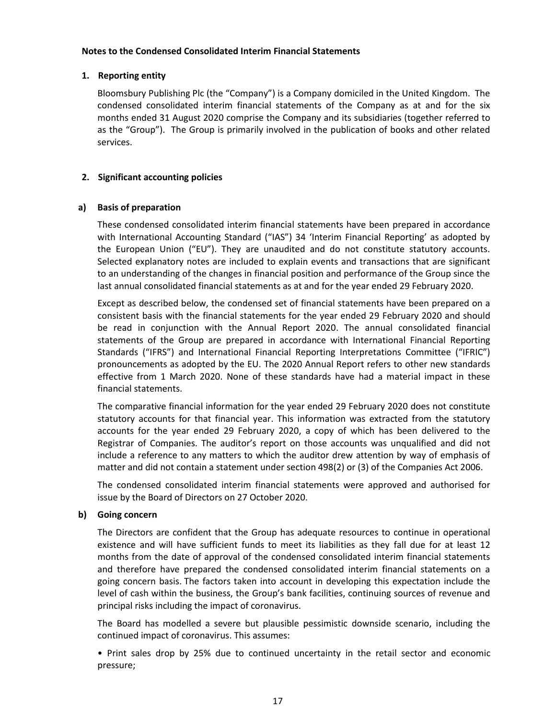### **Notes to the Condensed Consolidated Interim Financial Statements**

## **1. Reporting entity**

Bloomsbury Publishing Plc (the "Company") is a Company domiciled in the United Kingdom. The condensed consolidated interim financial statements of the Company as at and for the six months ended 31 August 2020 comprise the Company and its subsidiaries (together referred to as the "Group"). The Group is primarily involved in the publication of books and other related services.

# **2. Significant accounting policies**

## **a) Basis of preparation**

These condensed consolidated interim financial statements have been prepared in accordance with International Accounting Standard ("IAS") 34 'Interim Financial Reporting' as adopted by the European Union ("EU"). They are unaudited and do not constitute statutory accounts. Selected explanatory notes are included to explain events and transactions that are significant to an understanding of the changes in financial position and performance of the Group since the last annual consolidated financial statements as at and for the year ended 29 February 2020.

Except as described below, the condensed set of financial statements have been prepared on a consistent basis with the financial statements for the year ended 29 February 2020 and should be read in conjunction with the Annual Report 2020. The annual consolidated financial statements of the Group are prepared in accordance with International Financial Reporting Standards ("IFRS") and International Financial Reporting Interpretations Committee ("IFRIC") pronouncements as adopted by the EU. The 2020 Annual Report refers to other new standards effective from 1 March 2020. None of these standards have had a material impact in these financial statements.

The comparative financial information for the year ended 29 February 2020 does not constitute statutory accounts for that financial year. This information was extracted from the statutory accounts for the year ended 29 February 2020, a copy of which has been delivered to the Registrar of Companies. The auditor's report on those accounts was unqualified and did not include a reference to any matters to which the auditor drew attention by way of emphasis of matter and did not contain a statement under section 498(2) or (3) of the Companies Act 2006.

The condensed consolidated interim financial statements were approved and authorised for issue by the Board of Directors on 27 October 2020.

## **b) Going concern**

The Directors are confident that the Group has adequate resources to continue in operational existence and will have sufficient funds to meet its liabilities as they fall due for at least 12 months from the date of approval of the condensed consolidated interim financial statements and therefore have prepared the condensed consolidated interim financial statements on a going concern basis. The factors taken into account in developing this expectation include the level of cash within the business, the Group's bank facilities, continuing sources of revenue and principal risks including the impact of coronavirus.

The Board has modelled a severe but plausible pessimistic downside scenario, including the continued impact of coronavirus. This assumes:

• Print sales drop by 25% due to continued uncertainty in the retail sector and economic pressure;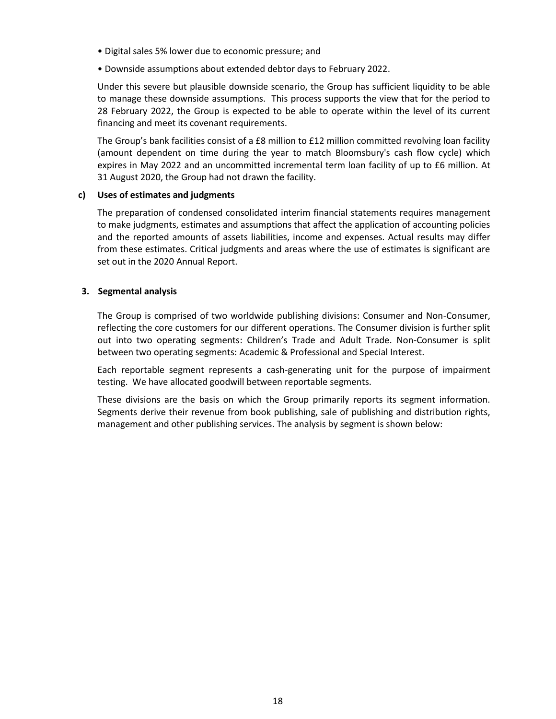- Digital sales 5% lower due to economic pressure; and
- Downside assumptions about extended debtor days to February 2022.

Under this severe but plausible downside scenario, the Group has sufficient liquidity to be able to manage these downside assumptions. This process supports the view that for the period to 28 February 2022, the Group is expected to be able to operate within the level of its current financing and meet its covenant requirements.

The Group's bank facilities consist of a £8 million to £12 million committed revolving loan facility (amount dependent on time during the year to match Bloomsbury's cash flow cycle) which expires in May 2022 and an uncommitted incremental term loan facility of up to £6 million. At 31 August 2020, the Group had not drawn the facility.

### **c) Uses of estimates and judgments**

The preparation of condensed consolidated interim financial statements requires management to make judgments, estimates and assumptions that affect the application of accounting policies and the reported amounts of assets liabilities, income and expenses. Actual results may differ from these estimates. Critical judgments and areas where the use of estimates is significant are set out in the 2020 Annual Report.

## **3. Segmental analysis**

The Group is comprised of two worldwide publishing divisions: Consumer and Non-Consumer, reflecting the core customers for our different operations. The Consumer division is further split out into two operating segments: Children's Trade and Adult Trade. Non-Consumer is split between two operating segments: Academic & Professional and Special Interest.

Each reportable segment represents a cash-generating unit for the purpose of impairment testing. We have allocated goodwill between reportable segments.

These divisions are the basis on which the Group primarily reports its segment information. Segments derive their revenue from book publishing, sale of publishing and distribution rights, management and other publishing services. The analysis by segment is shown below: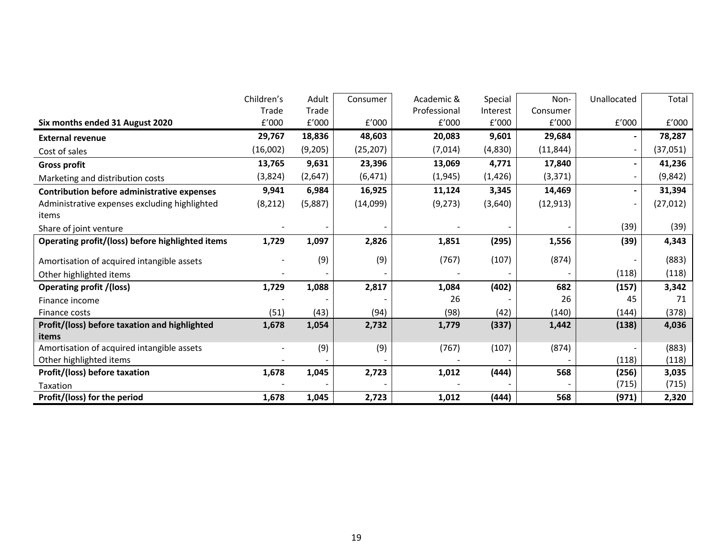|                                                    | Children's | Adult   | Consumer  | Academic &   | Special  | Non-      | Unallocated              | Total     |
|----------------------------------------------------|------------|---------|-----------|--------------|----------|-----------|--------------------------|-----------|
|                                                    | Trade      | Trade   |           | Professional | Interest | Consumer  |                          |           |
| Six months ended 31 August 2020                    | £'000      | E'000   | f'000     | f'000        | E'000    | f'000     | E'000                    | f'000     |
| <b>External revenue</b>                            | 29,767     | 18,836  | 48,603    | 20,083       | 9,601    | 29,684    | $\blacksquare$           | 78,287    |
| Cost of sales                                      | (16,002)   | (9,205) | (25, 207) | (7,014)      | (4,830)  | (11, 844) | $\overline{\phantom{a}}$ | (37,051)  |
| <b>Gross profit</b>                                | 13,765     | 9,631   | 23,396    | 13,069       | 4,771    | 17,840    | ۰                        | 41,236    |
| Marketing and distribution costs                   | (3,824)    | (2,647) | (6, 471)  | (1, 945)     | (1, 426) | (3, 371)  | $\overline{\phantom{a}}$ | (9,842)   |
| <b>Contribution before administrative expenses</b> | 9,941      | 6,984   | 16,925    | 11,124       | 3,345    | 14,469    | $\blacksquare$           | 31,394    |
| Administrative expenses excluding highlighted      | (8, 212)   | (5,887) | (14,099)  | (9, 273)     | (3,640)  | (12, 913) | $\overline{\phantom{a}}$ | (27, 012) |
| items                                              |            |         |           |              |          |           |                          |           |
| Share of joint venture                             |            |         |           |              |          |           | (39)                     | (39)      |
| Operating profit/(loss) before highlighted items   | 1,729      | 1,097   | 2,826     | 1,851        | (295)    | 1,556     | (39)                     | 4,343     |
| Amortisation of acquired intangible assets         |            | (9)     | (9)       | (767)        | (107)    | (874)     |                          | (883)     |
| Other highlighted items                            |            |         |           |              |          |           | (118)                    | (118)     |
| <b>Operating profit /(loss)</b>                    | 1,729      | 1,088   | 2,817     | 1,084        | (402)    | 682       | (157)                    | 3,342     |
| Finance income                                     |            |         |           | 26           |          | 26        | 45                       | 71        |
| Finance costs                                      | (51)       | (43)    | (94)      | (98)         | (42)     | (140)     | (144)                    | (378)     |
| Profit/(loss) before taxation and highlighted      | 1,678      | 1,054   | 2,732     | 1,779        | (337)    | 1,442     | (138)                    | 4,036     |
| items                                              |            |         |           |              |          |           |                          |           |
| Amortisation of acquired intangible assets         |            | (9)     | (9)       | (767)        | (107)    | (874)     |                          | (883)     |
| Other highlighted items                            |            |         |           |              |          |           | (118)                    | (118)     |
| Profit/(loss) before taxation                      | 1,678      | 1,045   | 2,723     | 1,012        | (444)    | 568       | (256)                    | 3,035     |
| Taxation                                           |            |         |           |              |          |           | (715)                    | (715)     |
| Profit/(loss) for the period                       | 1,678      | 1,045   | 2,723     | 1,012        | (444)    | 568       | (971)                    | 2,320     |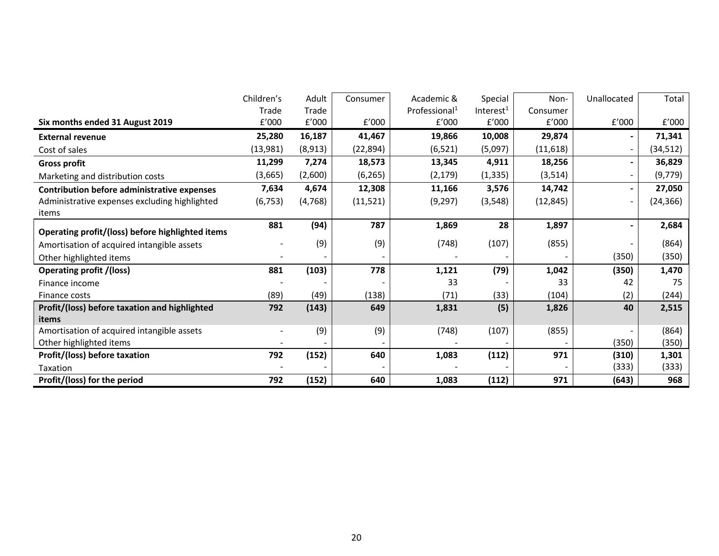|                                                    | Children's               | Adult    | Consumer  | Academic &                | Special               | Non-      | Unallocated                  | Total     |
|----------------------------------------------------|--------------------------|----------|-----------|---------------------------|-----------------------|-----------|------------------------------|-----------|
|                                                    | Trade                    | Trade    |           | Professional <sup>1</sup> | Interest <sup>1</sup> | Consumer  |                              |           |
| Six months ended 31 August 2019                    | £'000                    | £'000    | £'000     | f'000                     | £'000                 | E'000     | E'000                        | E'000     |
| <b>External revenue</b>                            | 25,280                   | 16,187   | 41,467    | 19,866                    | 10,008                | 29,874    | -                            | 71,341    |
| Cost of sales                                      | (13,981)                 | (8,913)  | (22, 894) | (6, 521)                  | (5,097)               | (11, 618) | $\qquad \qquad \blacksquare$ | (34, 512) |
| <b>Gross profit</b>                                | 11,299                   | 7,274    | 18,573    | 13,345                    | 4,911                 | 18,256    | $\blacksquare$               | 36,829    |
| Marketing and distribution costs                   | (3,665)                  | (2,600)  | (6, 265)  | (2, 179)                  | (1, 335)              | (3, 514)  | $\overline{\phantom{a}}$     | (9, 779)  |
| <b>Contribution before administrative expenses</b> | 7,634                    | 4,674    | 12,308    | 11,166                    | 3,576                 | 14,742    | $\blacksquare$               | 27,050    |
| Administrative expenses excluding highlighted      | (6, 753)                 | (4, 768) | (11, 521) | (9, 297)                  | (3, 548)              | (12, 845) | $\blacksquare$               | (24, 366) |
| items                                              |                          |          |           |                           |                       |           |                              |           |
| Operating profit/(loss) before highlighted items   | 881                      | (94)     | 787       | 1,869                     | 28                    | 1,897     |                              | 2,684     |
| Amortisation of acquired intangible assets         |                          | (9)      | (9)       | (748)                     | (107)                 | (855)     |                              | (864)     |
| Other highlighted items                            |                          |          |           |                           |                       |           | (350)                        | (350)     |
| <b>Operating profit /(loss)</b>                    | 881                      | (103)    | 778       | 1,121                     | (79)                  | 1,042     | (350)                        | 1,470     |
| Finance income                                     |                          |          |           | 33                        |                       | 33        | 42                           | 75        |
| Finance costs                                      | (89)                     | (49)     | (138)     | (71)                      | (33)                  | (104)     | (2)                          | (244)     |
| Profit/(loss) before taxation and highlighted      | 792                      | (143)    | 649       | 1,831                     | (5)                   | 1,826     | 40                           | 2,515     |
| items                                              |                          |          |           |                           |                       |           |                              |           |
| Amortisation of acquired intangible assets         | $\overline{\phantom{a}}$ | (9)      | (9)       | (748)                     | (107)                 | (855)     |                              | (864)     |
| Other highlighted items                            |                          |          |           |                           |                       |           | (350)                        | (350)     |
| Profit/(loss) before taxation                      | 792                      | (152)    | 640       | 1,083                     | (112)                 | 971       | (310)                        | 1,301     |
| Taxation                                           |                          |          |           |                           |                       |           | (333)                        | (333)     |
| Profit/(loss) for the period                       | 792                      | (152)    | 640       | 1,083                     | (112)                 | 971       | (643)                        | 968       |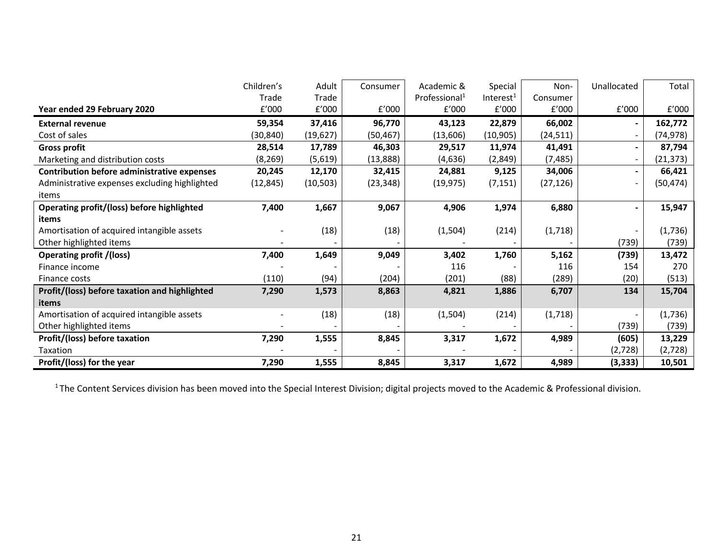|                                                    | Children's | Adult     | Consumer  | Academic &                | Special               | Non-      | Unallocated    | Total     |
|----------------------------------------------------|------------|-----------|-----------|---------------------------|-----------------------|-----------|----------------|-----------|
|                                                    | Trade      | Trade     |           | Professional <sup>1</sup> | Interest <sup>1</sup> | Consumer  |                |           |
| Year ended 29 February 2020                        | E'000      | f'000     | E'000     | E'000                     | f'000                 | f'000     | f'000          | E'000     |
| <b>External revenue</b>                            | 59,354     | 37,416    | 96,770    | 43,123                    | 22,879                | 66,002    | $\blacksquare$ | 162,772   |
| Cost of sales                                      | (30,840)   | (19,627)  | (50, 467) | (13,606)                  | (10, 905)             | (24, 511) | Ξ.             | (74,978)  |
| <b>Gross profit</b>                                | 28,514     | 17,789    | 46,303    | 29,517                    | 11,974                | 41,491    | $\blacksquare$ | 87,794    |
| Marketing and distribution costs                   | (8, 269)   | (5,619)   | (13,888)  | (4,636)                   | (2,849)               | (7, 485)  | Ξ.             | (21, 373) |
| <b>Contribution before administrative expenses</b> | 20,245     | 12,170    | 32,415    | 24,881                    | 9,125                 | 34,006    | $\blacksquare$ | 66,421    |
| Administrative expenses excluding highlighted      | (12, 845)  | (10, 503) | (23, 348) | (19, 975)                 | (7, 151)              | (27, 126) | ۰.             | (50, 474) |
| items                                              |            |           |           |                           |                       |           |                |           |
| <b>Operating profit/(loss) before highlighted</b>  | 7,400      | 1,667     | 9,067     | 4,906                     | 1,974                 | 6,880     |                | 15,947    |
| items                                              |            |           |           |                           |                       |           |                |           |
| Amortisation of acquired intangible assets         |            | (18)      | (18)      | (1, 504)                  | (214)                 | (1,718)   |                | (1,736)   |
| Other highlighted items                            |            |           |           |                           |                       |           | (739)          | (739)     |
| <b>Operating profit /(loss)</b>                    | 7,400      | 1,649     | 9,049     | 3,402                     | 1,760                 | 5,162     | (739)          | 13,472    |
| Finance income                                     |            |           |           | 116                       |                       | 116       | 154            | 270       |
| Finance costs                                      | (110)      | (94)      | (204)     | (201)                     | (88)                  | (289)     | (20)           | (513)     |
| Profit/(loss) before taxation and highlighted      | 7,290      | 1,573     | 8,863     | 4,821                     | 1,886                 | 6,707     | 134            | 15,704    |
| items                                              |            |           |           |                           |                       |           |                |           |
| Amortisation of acquired intangible assets         |            | (18)      | (18)      | (1, 504)                  | (214)                 | (1,718)   |                | (1,736)   |
| Other highlighted items                            |            |           |           |                           |                       |           | (739)          | (739)     |
| Profit/(loss) before taxation                      | 7,290      | 1,555     | 8,845     | 3,317                     | 1,672                 | 4,989     | (605)          | 13,229    |
| Taxation                                           |            |           |           |                           |                       |           | (2,728)        | (2,728)   |
| Profit/(loss) for the year                         | 7,290      | 1,555     | 8,845     | 3,317                     | 1,672                 | 4,989     | (3,333)        | 10,501    |

<sup>1</sup>The Content Services division has been moved into the Special Interest Division; digital projects moved to the Academic & Professional division.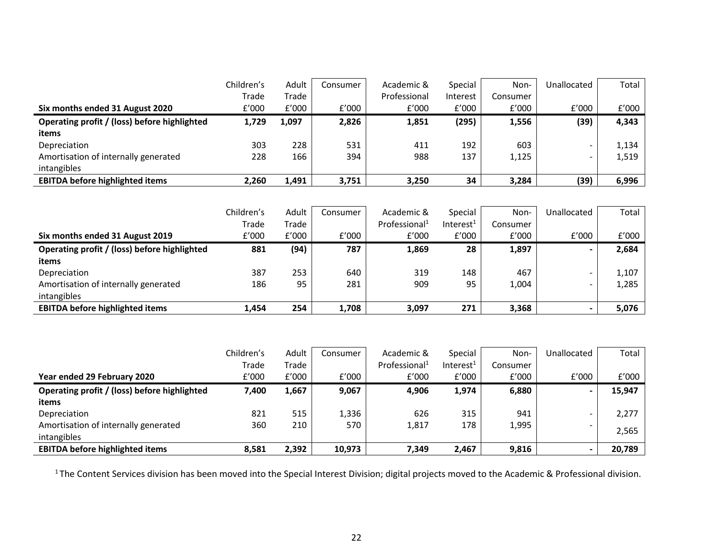|                                              | Children's | Adult | Consumer | Academic &   | Special  | Non-     | Unallocated              | Total |
|----------------------------------------------|------------|-------|----------|--------------|----------|----------|--------------------------|-------|
|                                              | Trade      | Trade |          | Professional | Interest | Consumer |                          |       |
| Six months ended 31 August 2020              | E'000      | f'000 | f'000    | f'000        | f'000    | E'000    | f'000                    | f'000 |
| Operating profit / (loss) before highlighted | 1,729      | 1,097 | 2,826    | 1,851        | (295)    | 1,556    | (39)                     | 4,343 |
| items                                        |            |       |          |              |          |          |                          |       |
| Depreciation                                 | 303        | 228   | 531      | 411          | 192      | 603      | $\overline{\phantom{0}}$ | 1,134 |
| Amortisation of internally generated         | 228        | 166   | 394      | 988          | 137      | 1,125    |                          | 1,519 |
| intangibles                                  |            |       |          |              |          |          |                          |       |
| <b>EBITDA before highlighted items</b>       | 2,260      | 1,491 | 3,751    | 3,250        | 34       | 3,284    | (39)                     | 6,996 |

|                                              | Children's | Adult | Consumer | Academic &                | Special      | Non-     | Unallocated              | Total |
|----------------------------------------------|------------|-------|----------|---------------------------|--------------|----------|--------------------------|-------|
|                                              | Trade      | Trade |          | Professional <sup>1</sup> | Interest $1$ | Consumer |                          |       |
| Six months ended 31 August 2019              | f'000      | E'000 | f'000    | f'000                     | E'000        | f'000    | f'000                    | f'000 |
| Operating profit / (loss) before highlighted | 881        | (94)  | 787      | 1,869                     | 28           | 1,897    | $\overline{\phantom{0}}$ | 2,684 |
| items                                        |            |       |          |                           |              |          |                          |       |
| Depreciation                                 | 387        | 253   | 640      | 319                       | 148          | 467      | $\overline{\phantom{a}}$ | 1,107 |
| Amortisation of internally generated         | 186        | 95    | 281      | 909                       | 95           | 1,004    |                          | 1,285 |
| intangibles                                  |            |       |          |                           |              |          |                          |       |
| <b>EBITDA before highlighted items</b>       | 1,454      | 254   | 1,708    | 3,097                     | 271          | 3,368    |                          | 5,076 |

|                                              | Children's | Adult | Consumer | Academic &                | Special               | Non-     | Unallocated    | Total  |
|----------------------------------------------|------------|-------|----------|---------------------------|-----------------------|----------|----------------|--------|
|                                              | Trade      | Trade |          | Professional <sup>1</sup> | Interest <sup>1</sup> | Consumer |                |        |
| Year ended 29 February 2020                  | f'000      | f'000 | f'000    | f'000                     | f'000                 | E'000    | f'000          | £'000  |
| Operating profit / (loss) before highlighted | 7,400      | 1,667 | 9,067    | 4,906                     | 1,974                 | 6,880    | $\blacksquare$ | 15,947 |
| items                                        |            |       |          |                           |                       |          |                |        |
| Depreciation                                 | 821        | 515   | 1,336    | 626                       | 315                   | 941      | -              | 2,277  |
| Amortisation of internally generated         | 360        | 210   | 570      | 1,817                     | 178                   | 1,995    | -              | 2,565  |
| intangibles                                  |            |       |          |                           |                       |          |                |        |
| <b>EBITDA before highlighted items</b>       | 8,581      | 2,392 | 10,973   | 7,349                     | 2,467                 | 9,816    |                | 20,789 |

 $1$ The Content Services division has been moved into the Special Interest Division; digital projects moved to the Academic & Professional division.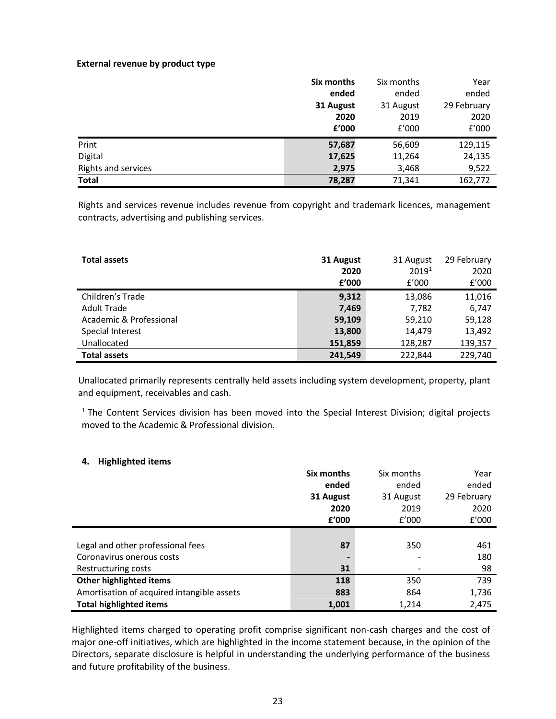#### **External revenue by product type**

|                     | Six months | Six months | Year        |
|---------------------|------------|------------|-------------|
|                     | ended      | ended      | ended       |
|                     | 31 August  | 31 August  | 29 February |
|                     | 2020       | 2019       | 2020        |
|                     | £'000      | E'000      | f'000       |
| Print               | 57,687     | 56,609     | 129,115     |
| Digital             | 17,625     | 11,264     | 24,135      |
| Rights and services | 2,975      | 3,468      | 9,522       |
| <b>Total</b>        | 78,287     | 71,341     | 162,772     |

Rights and services revenue includes revenue from copyright and trademark licences, management contracts, advertising and publishing services.

| <b>Total assets</b>     | 31 August<br>2020 | 31 August<br>2019 <sup>1</sup> | 29 February<br>2020 |
|-------------------------|-------------------|--------------------------------|---------------------|
|                         | £'000             | f'000                          | f'000               |
| Children's Trade        | 9,312             | 13,086                         | 11,016              |
| <b>Adult Trade</b>      | 7,469             | 7,782                          | 6,747               |
| Academic & Professional | 59,109            | 59,210                         | 59,128              |
| Special Interest        | 13,800            | 14,479                         | 13,492              |
| Unallocated             | 151,859           | 128,287                        | 139,357             |
| <b>Total assets</b>     | 241.549           | 222.844                        | 229,740             |

Unallocated primarily represents centrally held assets including system development, property, plant and equipment, receivables and cash.

 $1$  The Content Services division has been moved into the Special Interest Division; digital projects moved to the Academic & Professional division.

## **4. Highlighted items**

|                                            | Six months | Six months | Year        |
|--------------------------------------------|------------|------------|-------------|
|                                            | ended      | ended      | ended       |
|                                            | 31 August  | 31 August  | 29 February |
|                                            | 2020       | 2019       | 2020        |
|                                            | f'000      | f'000      | £'000       |
|                                            |            |            |             |
| Legal and other professional fees          | 87         | 350        | 461         |
| Coronavirus onerous costs                  |            |            | 180         |
| Restructuring costs                        | 31         |            | 98          |
| Other highlighted items                    | 118        | 350        | 739         |
| Amortisation of acquired intangible assets | 883        | 864        | 1,736       |
| <b>Total highlighted items</b>             | 1,001      | 1,214      | 2,475       |

Highlighted items charged to operating profit comprise significant non-cash charges and the cost of major one-off initiatives, which are highlighted in the income statement because, in the opinion of the Directors, separate disclosure is helpful in understanding the underlying performance of the business and future profitability of the business.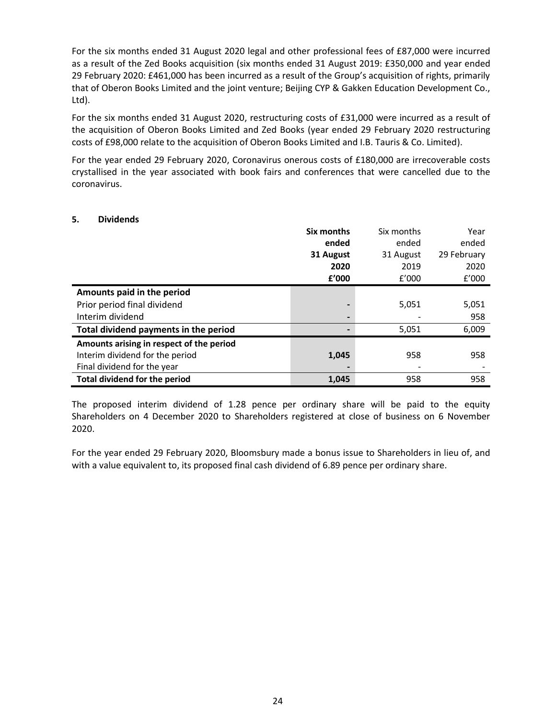For the six months ended 31 August 2020 legal and other professional fees of £87,000 were incurred as a result of the Zed Books acquisition (six months ended 31 August 2019: £350,000 and year ended 29 February 2020: £461,000 has been incurred as a result of the Group's acquisition of rights, primarily that of Oberon Books Limited and the joint venture; Beijing CYP & Gakken Education Development Co., Ltd).

For the six months ended 31 August 2020, restructuring costs of £31,000 were incurred as a result of the acquisition of Oberon Books Limited and Zed Books (year ended 29 February 2020 restructuring costs of £98,000 relate to the acquisition of Oberon Books Limited and I.B. Tauris & Co. Limited).

For the year ended 29 February 2020, Coronavirus onerous costs of £180,000 are irrecoverable costs crystallised in the year associated with book fairs and conferences that were cancelled due to the coronavirus.

### **5. Dividends**

|                                          | Six months     | Six months | Year        |
|------------------------------------------|----------------|------------|-------------|
|                                          | ended          | ended      | ended       |
|                                          | 31 August      | 31 August  | 29 February |
|                                          | 2020           | 2019       | 2020        |
|                                          | £'000          | f'000      | f'000       |
| Amounts paid in the period               |                |            |             |
| Prior period final dividend              |                | 5,051      | 5,051       |
| Interim dividend                         | $\blacksquare$ |            | 958         |
| Total dividend payments in the period    |                | 5,051      | 6,009       |
| Amounts arising in respect of the period |                |            |             |
| Interim dividend for the period          | 1,045          | 958        | 958         |
| Final dividend for the year              |                |            |             |
| <b>Total dividend for the period</b>     | 1,045          | 958        | 958         |

The proposed interim dividend of 1.28 pence per ordinary share will be paid to the equity Shareholders on 4 December 2020 to Shareholders registered at close of business on 6 November 2020.

For the year ended 29 February 2020, Bloomsbury made a bonus issue to Shareholders in lieu of, and with a value equivalent to, its proposed final cash dividend of 6.89 pence per ordinary share.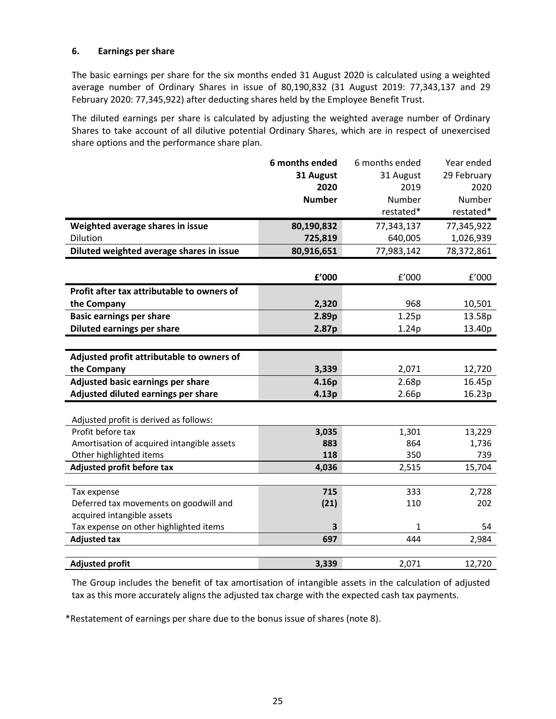## **6. Earnings per share**

The basic earnings per share for the six months ended 31 August 2020 is calculated using a weighted average number of Ordinary Shares in issue of 80,190,832 (31 August 2019: 77,343,137 and 29 February 2020: 77,345,922) after deducting shares held by the Employee Benefit Trust.

The diluted earnings per share is calculated by adjusting the weighted average number of Ordinary Shares to take account of all dilutive potential Ordinary Shares, which are in respect of unexercised share options and the performance share plan.

|                                            | 6 months ended | 6 months ended | Year ended  |
|--------------------------------------------|----------------|----------------|-------------|
|                                            | 31 August      | 31 August      | 29 February |
|                                            | 2020           | 2019           | 2020        |
|                                            | <b>Number</b>  | Number         | Number      |
|                                            |                | restated*      | restated*   |
| Weighted average shares in issue           | 80,190,832     | 77,343,137     | 77,345,922  |
| Dilution                                   | 725,819        | 640,005        | 1,026,939   |
| Diluted weighted average shares in issue   | 80,916,651     | 77,983,142     | 78,372,861  |
|                                            |                |                |             |
|                                            | £'000          | f'000          | f'000       |
| Profit after tax attributable to owners of |                |                |             |
| the Company                                | 2,320          | 968            | 10,501      |
| <b>Basic earnings per share</b>            | 2.89p          | 1.25p          | 13.58p      |
| Diluted earnings per share                 | 2.87p          | 1.24p          | 13.40p      |
|                                            |                |                |             |
| Adjusted profit attributable to owners of  |                |                |             |
| the Company                                | 3,339          | 2,071          | 12,720      |
| Adjusted basic earnings per share          | 4.16p          | 2.68p          | 16.45p      |
| Adjusted diluted earnings per share        | 4.13p          | 2.66p          | 16.23p      |
|                                            |                |                |             |
| Adjusted profit is derived as follows:     |                |                |             |
| Profit before tax                          | 3,035          | 1,301          | 13,229      |
| Amortisation of acquired intangible assets | 883            | 864            | 1,736       |
| Other highlighted items                    | 118            | 350            | 739         |
| Adjusted profit before tax                 | 4,036          | 2,515          | 15,704      |
|                                            |                |                |             |
| Tax expense                                | 715            | 333            | 2,728       |
| Deferred tax movements on goodwill and     | (21)           | 110            | 202         |
| acquired intangible assets                 |                |                |             |
| Tax expense on other highlighted items     | 3              | 1              | 54          |
| <b>Adjusted tax</b>                        | 697            | 444            | 2,984       |
|                                            |                |                |             |
| <b>Adjusted profit</b>                     | 3,339          | 2,071          | 12,720      |

The Group includes the benefit of tax amortisation of intangible assets in the calculation of adjusted tax as this more accurately aligns the adjusted tax charge with the expected cash tax payments.

\*Restatement of earnings per share due to the bonus issue of shares (note 8).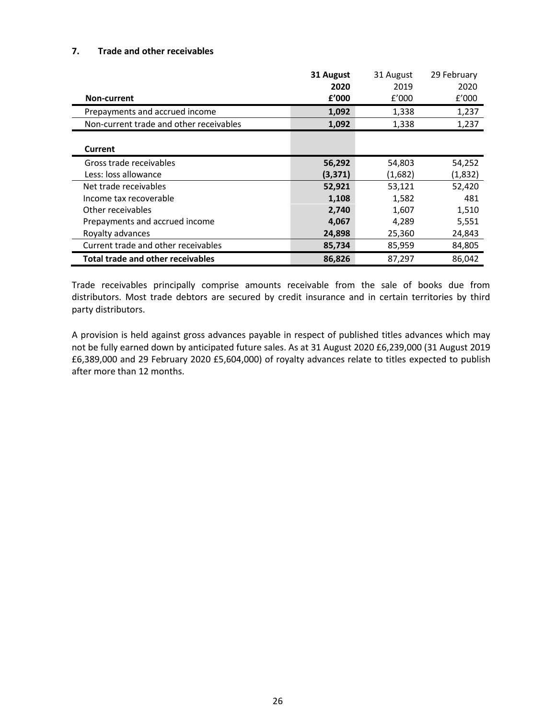### **7. Trade and other receivables**

|                                          | 31 August | 31 August | 29 February |
|------------------------------------------|-----------|-----------|-------------|
|                                          | 2020      | 2019      | 2020        |
| <b>Non-current</b>                       | f'000     | f'000     | E'000       |
| Prepayments and accrued income           | 1,092     | 1,338     | 1,237       |
| Non-current trade and other receivables  | 1,092     | 1,338     | 1,237       |
|                                          |           |           |             |
| Current                                  |           |           |             |
| Gross trade receivables                  | 56,292    | 54,803    | 54,252      |
| Less: loss allowance                     | (3, 371)  | (1,682)   | (1,832)     |
| Net trade receivables                    | 52,921    | 53,121    | 52,420      |
| Income tax recoverable                   | 1,108     | 1,582     | 481         |
| Other receivables                        | 2,740     | 1,607     | 1,510       |
| Prepayments and accrued income           | 4,067     | 4,289     | 5,551       |
| Royalty advances                         | 24,898    | 25,360    | 24,843      |
| Current trade and other receivables      | 85,734    | 85,959    | 84,805      |
| <b>Total trade and other receivables</b> | 86,826    | 87,297    | 86,042      |

Trade receivables principally comprise amounts receivable from the sale of books due from distributors. Most trade debtors are secured by credit insurance and in certain territories by third party distributors.

A provision is held against gross advances payable in respect of published titles advances which may not be fully earned down by anticipated future sales. As at 31 August 2020 £6,239,000 (31 August 2019 £6,389,000 and 29 February 2020 £5,604,000) of royalty advances relate to titles expected to publish after more than 12 months.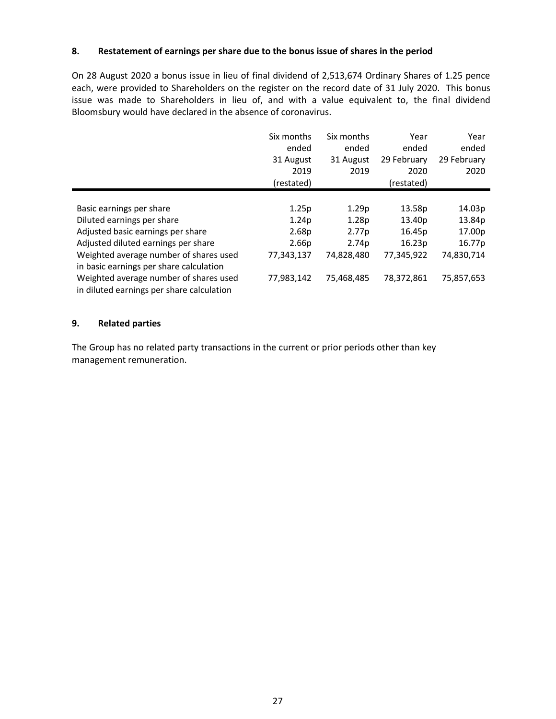### **8. Restatement of earnings per share due to the bonus issue of shares in the period**

On 28 August 2020 a bonus issue in lieu of final dividend of 2,513,674 Ordinary Shares of 1.25 pence each, were provided to Shareholders on the register on the record date of 31 July 2020. This bonus issue was made to Shareholders in lieu of, and with a value equivalent to, the final dividend Bloomsbury would have declared in the absence of coronavirus.

|                                                                                     | Six months<br>ended<br>31 August<br>2019<br>(restated) | Six months<br>ended<br>31 August<br>2019 | Year<br>ended<br>29 February<br>2020<br>(restated) | Year<br>ended<br>29 February<br>2020 |
|-------------------------------------------------------------------------------------|--------------------------------------------------------|------------------------------------------|----------------------------------------------------|--------------------------------------|
|                                                                                     |                                                        |                                          |                                                    |                                      |
| Basic earnings per share                                                            | 1.25p                                                  | 1.29 <sub>p</sub>                        | 13.58p                                             | 14.03p                               |
| Diluted earnings per share                                                          | 1.24 <sub>p</sub>                                      | 1.28 <sub>p</sub>                        | 13.40p                                             | 13.84p                               |
| Adjusted basic earnings per share                                                   | 2.68 <sub>p</sub>                                      | 2.77 <sub>p</sub>                        | 16.45p                                             | 17.00p                               |
| Adjusted diluted earnings per share                                                 | 2.66 <sub>p</sub>                                      | 2.74 <sub>p</sub>                        | 16.23p                                             | 16.77p                               |
| Weighted average number of shares used                                              | 77,343,137                                             | 74,828,480                               | 77,345,922                                         | 74,830,714                           |
| in basic earnings per share calculation                                             |                                                        |                                          |                                                    |                                      |
| Weighted average number of shares used<br>in diluted earnings per share calculation | 77,983,142                                             | 75,468,485                               | 78,372,861                                         | 75,857,653                           |

### **9. Related parties**

The Group has no related party transactions in the current or prior periods other than key management remuneration.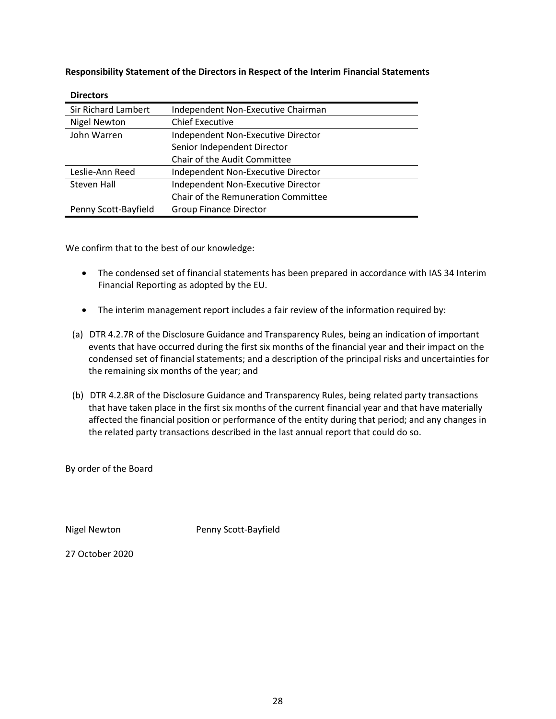**Responsibility Statement of the Directors in Respect of the Interim Financial Statements**

| --------                   |                                     |
|----------------------------|-------------------------------------|
| <b>Sir Richard Lambert</b> | Independent Non-Executive Chairman  |
| <b>Nigel Newton</b>        | <b>Chief Executive</b>              |
| John Warren                | Independent Non-Executive Director  |
|                            | Senior Independent Director         |
|                            | Chair of the Audit Committee        |
| Leslie-Ann Reed            | Independent Non-Executive Director  |
| Steven Hall                | Independent Non-Executive Director  |
|                            | Chair of the Remuneration Committee |
| Penny Scott-Bayfield       | <b>Group Finance Director</b>       |

**Directors**

We confirm that to the best of our knowledge:

- The condensed set of financial statements has been prepared in accordance with IAS 34 Interim Financial Reporting as adopted by the EU.
- The interim management report includes a fair review of the information required by:
- (a) DTR 4.2.7R of the Disclosure Guidance and Transparency Rules, being an indication of important events that have occurred during the first six months of the financial year and their impact on the condensed set of financial statements; and a description of the principal risks and uncertainties for the remaining six months of the year; and
- (b) DTR 4.2.8R of the Disclosure Guidance and Transparency Rules, being related party transactions that have taken place in the first six months of the current financial year and that have materially affected the financial position or performance of the entity during that period; and any changes in the related party transactions described in the last annual report that could do so.

By order of the Board

Nigel Newton **Penny Scott-Bayfield** 

27 October 2020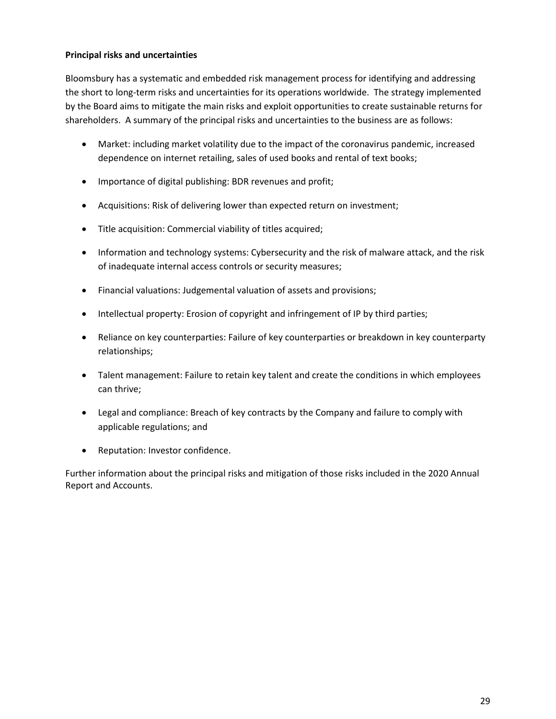# **Principal risks and uncertainties**

Bloomsbury has a systematic and embedded risk management process for identifying and addressing the short to long-term risks and uncertainties for its operations worldwide. The strategy implemented by the Board aims to mitigate the main risks and exploit opportunities to create sustainable returns for shareholders. A summary of the principal risks and uncertainties to the business are as follows:

- Market: including market volatility due to the impact of the coronavirus pandemic, increased dependence on internet retailing, sales of used books and rental of text books;
- Importance of digital publishing: BDR revenues and profit;
- Acquisitions: Risk of delivering lower than expected return on investment;
- Title acquisition: Commercial viability of titles acquired;
- Information and technology systems: Cybersecurity and the risk of malware attack, and the risk of inadequate internal access controls or security measures;
- Financial valuations: Judgemental valuation of assets and provisions;
- Intellectual property: Erosion of copyright and infringement of IP by third parties;
- Reliance on key counterparties: Failure of key counterparties or breakdown in key counterparty relationships;
- Talent management: Failure to retain key talent and create the conditions in which employees can thrive;
- Legal and compliance: Breach of key contracts by the Company and failure to comply with applicable regulations; and
- Reputation: Investor confidence.

Further information about the principal risks and mitigation of those risks included in the 2020 Annual Report and Accounts.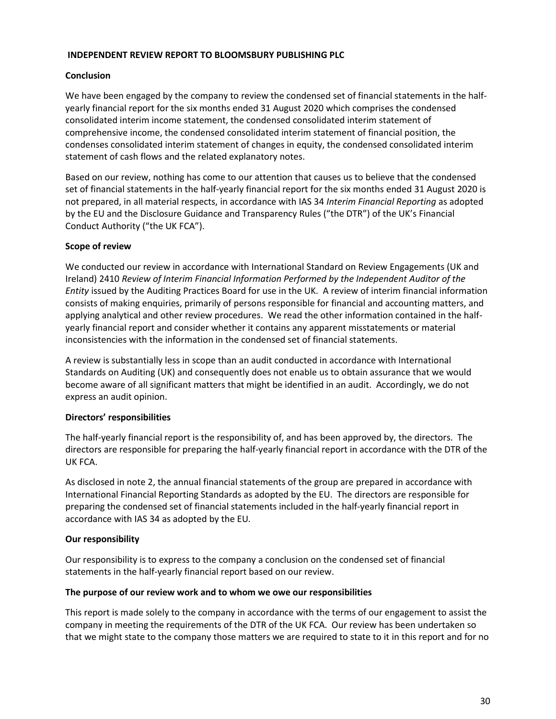## **INDEPENDENT REVIEW REPORT TO BLOOMSBURY PUBLISHING PLC**

## **Conclusion**

We have been engaged by the company to review the condensed set of financial statements in the halfyearly financial report for the six months ended 31 August 2020 which comprises the condensed consolidated interim income statement, the condensed consolidated interim statement of comprehensive income, the condensed consolidated interim statement of financial position, the condenses consolidated interim statement of changes in equity, the condensed consolidated interim statement of cash flows and the related explanatory notes.

Based on our review, nothing has come to our attention that causes us to believe that the condensed set of financial statements in the half-yearly financial report for the six months ended 31 August 2020 is not prepared, in all material respects, in accordance with IAS 34 *Interim Financial Reporting* as adopted by the EU and the Disclosure Guidance and Transparency Rules ("the DTR") of the UK's Financial Conduct Authority ("the UK FCA").

## **Scope of review**

We conducted our review in accordance with International Standard on Review Engagements (UK and Ireland) 2410 *Review of Interim Financial Information Performed by the Independent Auditor of the Entity* issued by the Auditing Practices Board for use in the UK. A review of interim financial information consists of making enquiries, primarily of persons responsible for financial and accounting matters, and applying analytical and other review procedures. We read the other information contained in the halfyearly financial report and consider whether it contains any apparent misstatements or material inconsistencies with the information in the condensed set of financial statements.

A review is substantially less in scope than an audit conducted in accordance with International Standards on Auditing (UK) and consequently does not enable us to obtain assurance that we would become aware of all significant matters that might be identified in an audit. Accordingly, we do not express an audit opinion.

# **Directors' responsibilities**

The half-yearly financial report is the responsibility of, and has been approved by, the directors. The directors are responsible for preparing the half-yearly financial report in accordance with the DTR of the UK FCA.

As disclosed in note 2, the annual financial statements of the group are prepared in accordance with International Financial Reporting Standards as adopted by the EU. The directors are responsible for preparing the condensed set of financial statements included in the half-yearly financial report in accordance with IAS 34 as adopted by the EU*.* 

# **Our responsibility**

Our responsibility is to express to the company a conclusion on the condensed set of financial statements in the half-yearly financial report based on our review.

## **The purpose of our review work and to whom we owe our responsibilities**

This report is made solely to the company in accordance with the terms of our engagement to assist the company in meeting the requirements of the DTR of the UK FCA. Our review has been undertaken so that we might state to the company those matters we are required to state to it in this report and for no